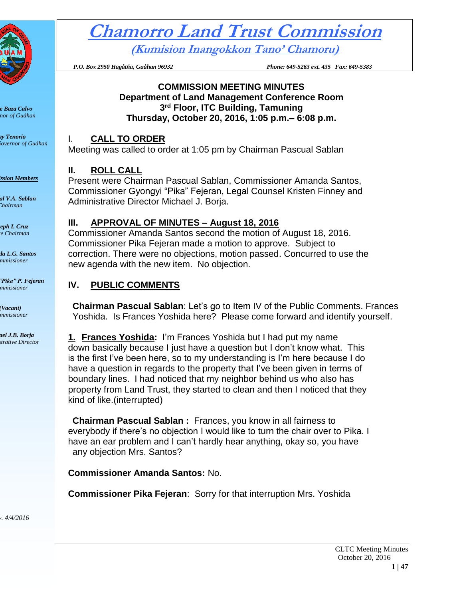

*Eddie Baza Calvo Governor of Guåhan*

*Ray Tenorio Lieutenant Governor of Guåhan*

**Commission Members** 

*Pascual V.A. Sablan Chairman*

*Joseph I. Cruz Vice Chairman*

*Amanda L.G. Santos Commissioner*

*Gyongyi "Pika" P. Fejeran Commissioner*

*(Vacant) Commissioner*

*Michael J.B. Borja Administrative Director*

# **Chamorro Land Trust Commission**

**(Kumision Inangokkon Tano' Chamoru)**

 *P.O. Box 2950 Hagåtña, Guåhan 96932 Phone: 649-5263 ext. 435 Fax: 649-5383*

#### **COMMISSION MEETING MINUTES Department of Land Management Conference Room 3 rd Floor, ITC Building, Tamuning Thursday, October 20, 2016, 1:05 p.m.– 6:08 p.m.**

# I. **CALL TO ORDER**

Meeting was called to order at 1:05 pm by Chairman Pascual Sablan

# **II. ROLL CALL**

Present were Chairman Pascual Sablan, Commissioner Amanda Santos, Commissioner Gyongyi "Pika" Fejeran, Legal Counsel Kristen Finney and Administrative Director Michael J. Borja.

# **III. APPROVAL OF MINUTES – August 18, 2016**

Commissioner Amanda Santos second the motion of August 18, 2016. Commissioner Pika Fejeran made a motion to approve. Subject to correction. There were no objections, motion passed. Concurred to use the new agenda with the new item. No objection.

# **IV. PUBLIC COMMENTS**

**Chairman Pascual Sablan**: Let's go to Item IV of the Public Comments. Frances Yoshida. Is Frances Yoshida here? Please come forward and identify yourself.

**1. Frances Yoshida:** I'm Frances Yoshida but I had put my name down basically because I just have a question but I don't know what. This is the first I've been here, so to my understanding is I'm here because I do have a question in regards to the property that I've been given in terms of boundary lines. I had noticed that my neighbor behind us who also has property from Land Trust, they started to clean and then I noticed that they kind of like.(interrupted)

**Chairman Pascual Sablan :** Frances, you know in all fairness to everybody if there's no objection I would like to turn the chair over to Pika. I have an ear problem and I can't hardly hear anything, okay so, you have any objection Mrs. Santos?

**Commissioner Amanda Santos:** No.

**Commissioner Pika Fejeran**: Sorry for that interruption Mrs. Yoshida

*Rev. 4/4/2016*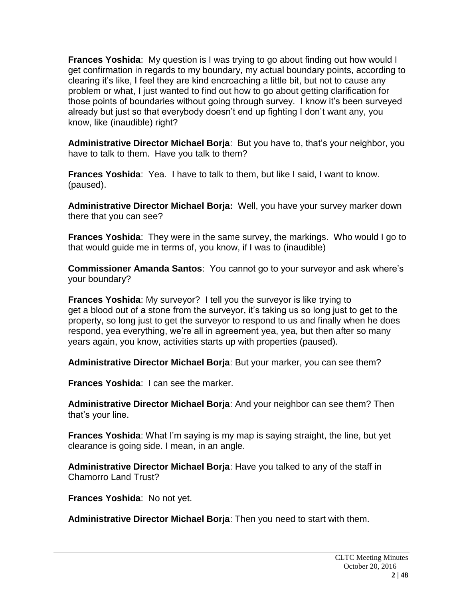**Frances Yoshida**: My question is I was trying to go about finding out how would I get confirmation in regards to my boundary, my actual boundary points, according to clearing it's like, I feel they are kind encroaching a little bit, but not to cause any problem or what, I just wanted to find out how to go about getting clarification for those points of boundaries without going through survey. I know it's been surveyed already but just so that everybody doesn't end up fighting I don't want any, you know, like (inaudible) right?

**Administrative Director Michael Borja**: But you have to, that's your neighbor, you have to talk to them. Have you talk to them?

**Frances Yoshida**: Yea. I have to talk to them, but like I said, I want to know. (paused).

**Administrative Director Michael Borja:** Well, you have your survey marker down there that you can see?

**Frances Yoshida**: They were in the same survey, the markings. Who would I go to that would guide me in terms of, you know, if I was to (inaudible)

**Commissioner Amanda Santos**: You cannot go to your surveyor and ask where's your boundary?

**Frances Yoshida**: My surveyor? I tell you the surveyor is like trying to get a blood out of a stone from the surveyor, it's taking us so long just to get to the property, so long just to get the surveyor to respond to us and finally when he does respond, yea everything, we're all in agreement yea, yea, but then after so many years again, you know, activities starts up with properties (paused).

**Administrative Director Michael Borja**: But your marker, you can see them?

**Frances Yoshida**: I can see the marker.

**Administrative Director Michael Borja**: And your neighbor can see them? Then that's your line.

**Frances Yoshida**: What I'm saying is my map is saying straight, the line, but yet clearance is going side. I mean, in an angle.

**Administrative Director Michael Borja**: Have you talked to any of the staff in Chamorro Land Trust?

**Frances Yoshida**: No not yet.

**Administrative Director Michael Borja**: Then you need to start with them.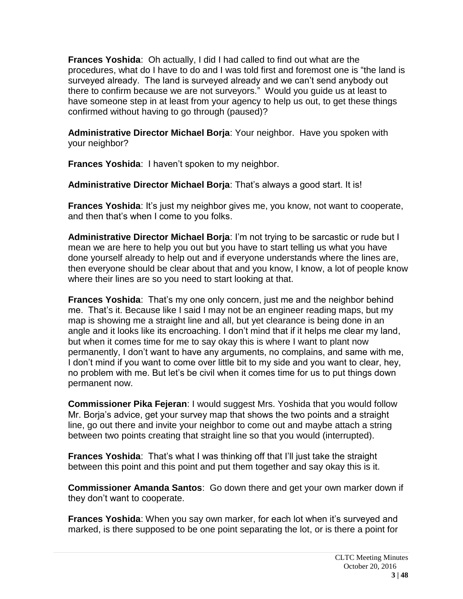**Frances Yoshida**: Oh actually, I did I had called to find out what are the procedures, what do I have to do and I was told first and foremost one is "the land is surveyed already. The land is surveyed already and we can't send anybody out there to confirm because we are not surveyors." Would you guide us at least to have someone step in at least from your agency to help us out, to get these things confirmed without having to go through (paused)?

**Administrative Director Michael Borja**: Your neighbor. Have you spoken with your neighbor?

**Frances Yoshida**: I haven't spoken to my neighbor.

**Administrative Director Michael Borja**: That's always a good start. It is!

**Frances Yoshida**: It's just my neighbor gives me, you know, not want to cooperate, and then that's when I come to you folks.

**Administrative Director Michael Borja**: I'm not trying to be sarcastic or rude but I mean we are here to help you out but you have to start telling us what you have done yourself already to help out and if everyone understands where the lines are, then everyone should be clear about that and you know, I know, a lot of people know where their lines are so you need to start looking at that.

**Frances Yoshida**: That's my one only concern, just me and the neighbor behind me. That's it. Because like I said I may not be an engineer reading maps, but my map is showing me a straight line and all, but yet clearance is being done in an angle and it looks like its encroaching. I don't mind that if it helps me clear my land, but when it comes time for me to say okay this is where I want to plant now permanently, I don't want to have any arguments, no complains, and same with me, I don't mind if you want to come over little bit to my side and you want to clear, hey, no problem with me. But let's be civil when it comes time for us to put things down permanent now.

**Commissioner Pika Fejeran**: I would suggest Mrs. Yoshida that you would follow Mr. Borja's advice, get your survey map that shows the two points and a straight line, go out there and invite your neighbor to come out and maybe attach a string between two points creating that straight line so that you would (interrupted).

**Frances Yoshida**: That's what I was thinking off that I'll just take the straight between this point and this point and put them together and say okay this is it.

**Commissioner Amanda Santos**: Go down there and get your own marker down if they don't want to cooperate.

**Frances Yoshida**: When you say own marker, for each lot when it's surveyed and marked, is there supposed to be one point separating the lot, or is there a point for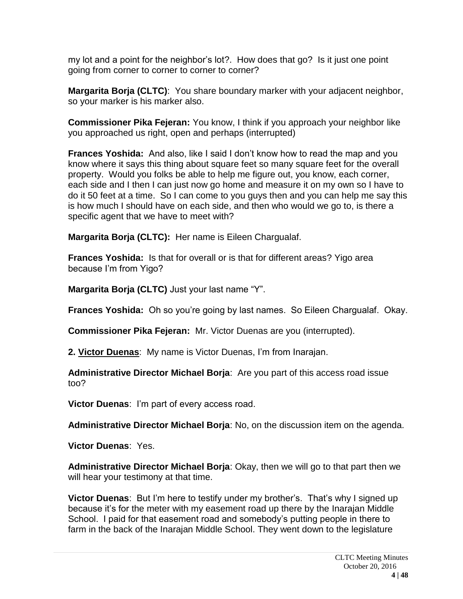my lot and a point for the neighbor's lot?. How does that go? Is it just one point going from corner to corner to corner to corner?

**Margarita Borja (CLTC)**: You share boundary marker with your adjacent neighbor, so your marker is his marker also.

**Commissioner Pika Fejeran:** You know, I think if you approach your neighbor like you approached us right, open and perhaps (interrupted)

**Frances Yoshida:** And also, like I said I don't know how to read the map and you know where it says this thing about square feet so many square feet for the overall property. Would you folks be able to help me figure out, you know, each corner, each side and I then I can just now go home and measure it on my own so I have to do it 50 feet at a time. So I can come to you guys then and you can help me say this is how much I should have on each side, and then who would we go to, is there a specific agent that we have to meet with?

**Margarita Borja (CLTC):** Her name is Eileen Chargualaf.

**Frances Yoshida:** Is that for overall or is that for different areas? Yigo area because I'm from Yigo?

**Margarita Borja (CLTC)** Just your last name "Y".

**Frances Yoshida:** Oh so you're going by last names. So Eileen Chargualaf. Okay.

**Commissioner Pika Fejeran:** Mr. Victor Duenas are you (interrupted).

**2. Victor Duenas**: My name is Victor Duenas, I'm from Inarajan.

**Administrative Director Michael Borja**: Are you part of this access road issue too?

**Victor Duenas**: I'm part of every access road.

**Administrative Director Michael Borja**: No, on the discussion item on the agenda.

**Victor Duenas**: Yes.

**Administrative Director Michael Borja**: Okay, then we will go to that part then we will hear your testimony at that time.

**Victor Duenas**: But I'm here to testify under my brother's. That's why I signed up because it's for the meter with my easement road up there by the Inarajan Middle School. I paid for that easement road and somebody's putting people in there to farm in the back of the Inarajan Middle School. They went down to the legislature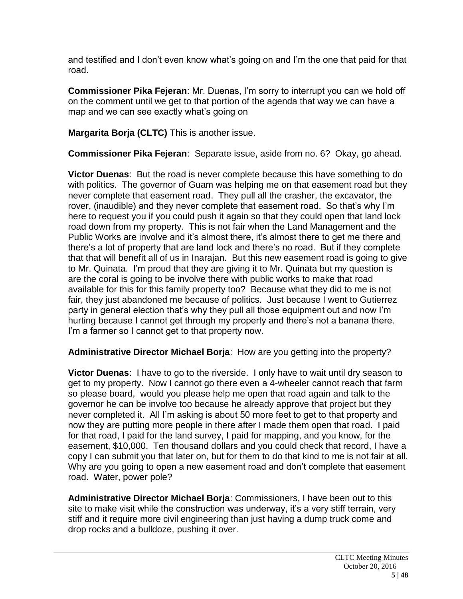and testified and I don't even know what's going on and I'm the one that paid for that road.

**Commissioner Pika Fejeran**: Mr. Duenas, I'm sorry to interrupt you can we hold off on the comment until we get to that portion of the agenda that way we can have a map and we can see exactly what's going on

**Margarita Borja (CLTC)** This is another issue.

**Commissioner Pika Fejeran**: Separate issue, aside from no. 6? Okay, go ahead.

**Victor Duenas**: But the road is never complete because this have something to do with politics. The governor of Guam was helping me on that easement road but they never complete that easement road. They pull all the crasher, the excavator, the rover, (inaudible) and they never complete that easement road. So that's why I'm here to request you if you could push it again so that they could open that land lock road down from my property. This is not fair when the Land Management and the Public Works are involve and it's almost there, it's almost there to get me there and there's a lot of property that are land lock and there's no road. But if they complete that that will benefit all of us in Inarajan. But this new easement road is going to give to Mr. Quinata. I'm proud that they are giving it to Mr. Quinata but my question is are the coral is going to be involve there with public works to make that road available for this for this family property too? Because what they did to me is not fair, they just abandoned me because of politics. Just because I went to Gutierrez party in general election that's why they pull all those equipment out and now I'm hurting because I cannot get through my property and there's not a banana there. I'm a farmer so I cannot get to that property now.

**Administrative Director Michael Borja**: How are you getting into the property?

**Victor Duenas**: I have to go to the riverside. I only have to wait until dry season to get to my property. Now I cannot go there even a 4-wheeler cannot reach that farm so please board, would you please help me open that road again and talk to the governor he can be involve too because he already approve that project but they never completed it. All I'm asking is about 50 more feet to get to that property and now they are putting more people in there after I made them open that road. I paid for that road, I paid for the land survey, I paid for mapping, and you know, for the easement, \$10,000. Ten thousand dollars and you could check that record, I have a copy I can submit you that later on, but for them to do that kind to me is not fair at all. Why are you going to open a new easement road and don't complete that easement road. Water, power pole?

**Administrative Director Michael Borja**: Commissioners, I have been out to this site to make visit while the construction was underway, it's a very stiff terrain, very stiff and it require more civil engineering than just having a dump truck come and drop rocks and a bulldoze, pushing it over.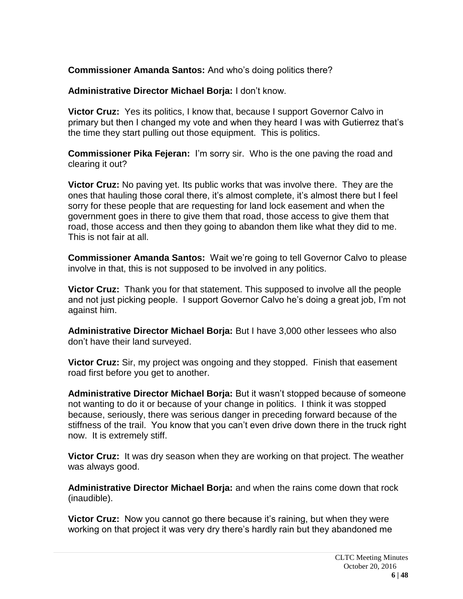**Commissioner Amanda Santos:** And who's doing politics there?

**Administrative Director Michael Borja:** I don't know.

**Victor Cruz:** Yes its politics, I know that, because I support Governor Calvo in primary but then I changed my vote and when they heard I was with Gutierrez that's the time they start pulling out those equipment. This is politics.

**Commissioner Pika Fejeran:** I'm sorry sir. Who is the one paving the road and clearing it out?

**Victor Cruz:** No paving yet. Its public works that was involve there. They are the ones that hauling those coral there, it's almost complete, it's almost there but I feel sorry for these people that are requesting for land lock easement and when the government goes in there to give them that road, those access to give them that road, those access and then they going to abandon them like what they did to me. This is not fair at all.

**Commissioner Amanda Santos:** Wait we're going to tell Governor Calvo to please involve in that, this is not supposed to be involved in any politics.

**Victor Cruz:** Thank you for that statement. This supposed to involve all the people and not just picking people. I support Governor Calvo he's doing a great job, I'm not against him.

**Administrative Director Michael Borja:** But I have 3,000 other lessees who also don't have their land surveyed.

**Victor Cruz:** Sir, my project was ongoing and they stopped. Finish that easement road first before you get to another.

**Administrative Director Michael Borja:** But it wasn't stopped because of someone not wanting to do it or because of your change in politics. I think it was stopped because, seriously, there was serious danger in preceding forward because of the stiffness of the trail. You know that you can't even drive down there in the truck right now. It is extremely stiff.

**Victor Cruz:** It was dry season when they are working on that project. The weather was always good.

**Administrative Director Michael Borja:** and when the rains come down that rock (inaudible).

**Victor Cruz:** Now you cannot go there because it's raining, but when they were working on that project it was very dry there's hardly rain but they abandoned me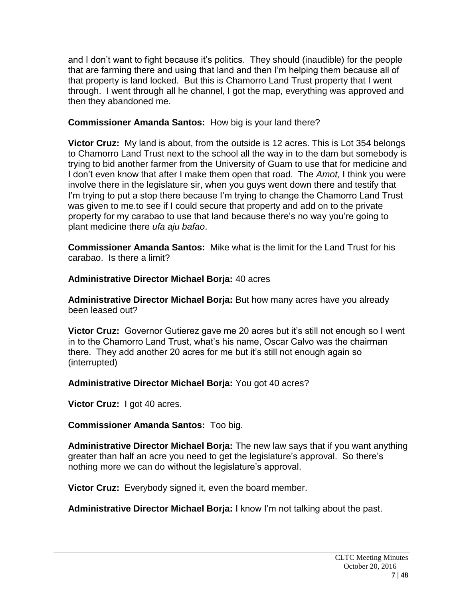and I don't want to fight because it's politics. They should (inaudible) for the people that are farming there and using that land and then I'm helping them because all of that property is land locked. But this is Chamorro Land Trust property that I went through. I went through all he channel, I got the map, everything was approved and then they abandoned me.

#### **Commissioner Amanda Santos:** How big is your land there?

**Victor Cruz:** My land is about, from the outside is 12 acres. This is Lot 354 belongs to Chamorro Land Trust next to the school all the way in to the dam but somebody is trying to bid another farmer from the University of Guam to use that for medicine and I don't even know that after I make them open that road. The *Amot,* I think you were involve there in the legislature sir, when you guys went down there and testify that I'm trying to put a stop there because I'm trying to change the Chamorro Land Trust was given to me.to see if I could secure that property and add on to the private property for my carabao to use that land because there's no way you're going to plant medicine there *ufa aju bafao*.

**Commissioner Amanda Santos:** Mike what is the limit for the Land Trust for his carabao. Is there a limit?

**Administrative Director Michael Borja:** 40 acres

**Administrative Director Michael Borja:** But how many acres have you already been leased out?

**Victor Cruz:** Governor Gutierez gave me 20 acres but it's still not enough so I went in to the Chamorro Land Trust, what's his name, Oscar Calvo was the chairman there. They add another 20 acres for me but it's still not enough again so (interrupted)

## **Administrative Director Michael Borja:** You got 40 acres?

**Victor Cruz:** I got 40 acres.

## **Commissioner Amanda Santos:** Too big.

**Administrative Director Michael Borja:** The new law says that if you want anything greater than half an acre you need to get the legislature's approval. So there's nothing more we can do without the legislature's approval.

**Victor Cruz:** Everybody signed it, even the board member.

**Administrative Director Michael Borja:** I know I'm not talking about the past.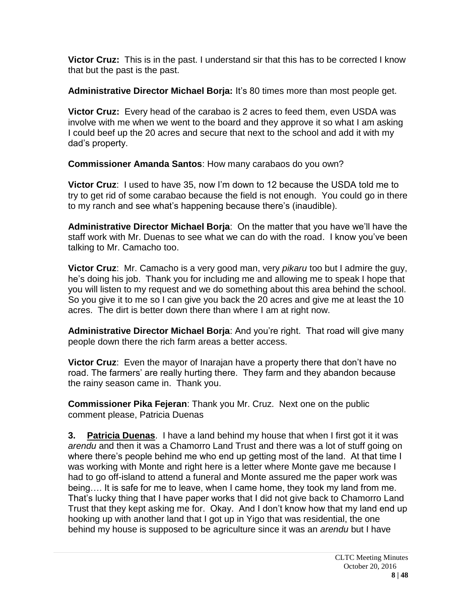**Victor Cruz:** This is in the past. I understand sir that this has to be corrected I know that but the past is the past.

**Administrative Director Michael Borja:** It's 80 times more than most people get.

**Victor Cruz:** Every head of the carabao is 2 acres to feed them, even USDA was involve with me when we went to the board and they approve it so what I am asking I could beef up the 20 acres and secure that next to the school and add it with my dad's property.

**Commissioner Amanda Santos**: How many carabaos do you own?

**Victor Cruz**: I used to have 35, now I'm down to 12 because the USDA told me to try to get rid of some carabao because the field is not enough. You could go in there to my ranch and see what's happening because there's (inaudible).

**Administrative Director Michael Borja**: On the matter that you have we'll have the staff work with Mr. Duenas to see what we can do with the road. I know you've been talking to Mr. Camacho too.

**Victor Cruz**: Mr. Camacho is a very good man, very *pikaru* too but I admire the guy, he's doing his job. Thank you for including me and allowing me to speak I hope that you will listen to my request and we do something about this area behind the school. So you give it to me so I can give you back the 20 acres and give me at least the 10 acres. The dirt is better down there than where I am at right now.

**Administrative Director Michael Borja**: And you're right. That road will give many people down there the rich farm areas a better access.

**Victor Cruz**: Even the mayor of Inarajan have a property there that don't have no road. The farmers' are really hurting there. They farm and they abandon because the rainy season came in. Thank you.

**Commissioner Pika Fejeran**: Thank you Mr. Cruz. Next one on the public comment please, Patricia Duenas

**3. Patricia Duenas**. I have a land behind my house that when I first got it it was *arendu* and then it was a Chamorro Land Trust and there was a lot of stuff going on where there's people behind me who end up getting most of the land. At that time I was working with Monte and right here is a letter where Monte gave me because I had to go off-island to attend a funeral and Monte assured me the paper work was being…. It is safe for me to leave, when I came home, they took my land from me. That's lucky thing that I have paper works that I did not give back to Chamorro Land Trust that they kept asking me for. Okay. And I don't know how that my land end up hooking up with another land that I got up in Yigo that was residential, the one behind my house is supposed to be agriculture since it was an *arendu* but I have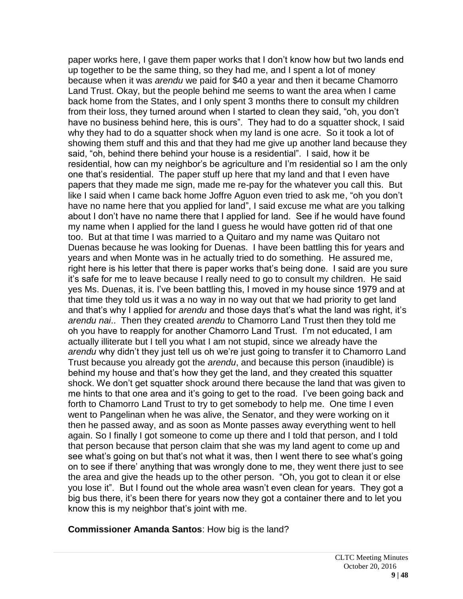paper works here, I gave them paper works that I don't know how but two lands end up together to be the same thing, so they had me, and I spent a lot of money because when it was *arendu* we paid for \$40 a year and then it became Chamorro Land Trust. Okay, but the people behind me seems to want the area when I came back home from the States, and I only spent 3 months there to consult my children from their loss, they turned around when I started to clean they said, "oh, you don't have no business behind here, this is ours". They had to do a squatter shock, I said why they had to do a squatter shock when my land is one acre. So it took a lot of showing them stuff and this and that they had me give up another land because they said, "oh, behind there behind your house is a residential". I said, how it be residential, how can my neighbor's be agriculture and I'm residential so I am the only one that's residential. The paper stuff up here that my land and that I even have papers that they made me sign, made me re-pay for the whatever you call this. But like I said when I came back home Joffre Aguon even tried to ask me, "oh you don't have no name here that you applied for land", I said excuse me what are you talking about I don't have no name there that I applied for land. See if he would have found my name when I applied for the land I guess he would have gotten rid of that one too. But at that time I was married to a Quitaro and my name was Quitaro not Duenas because he was looking for Duenas. I have been battling this for years and years and when Monte was in he actually tried to do something. He assured me, right here is his letter that there is paper works that's being done. I said are you sure it's safe for me to leave because I really need to go to consult my children. He said yes Ms. Duenas, it is. I've been battling this, I moved in my house since 1979 and at that time they told us it was a no way in no way out that we had priority to get land and that's why I applied for *arendu* and those days that's what the land was right, it's *arendu nai*.. Then they created *arendu* to Chamorro Land Trust then they told me oh you have to reapply for another Chamorro Land Trust. I'm not educated, I am actually illiterate but I tell you what I am not stupid, since we already have the *arendu* why didn't they just tell us oh we're just going to transfer it to Chamorro Land Trust because you already got the *arendu*, and because this person (inaudible) is behind my house and that's how they get the land, and they created this squatter shock. We don't get squatter shock around there because the land that was given to me hints to that one area and it's going to get to the road. I've been going back and forth to Chamorro Land Trust to try to get somebody to help me. One time I even went to Pangelinan when he was alive, the Senator, and they were working on it then he passed away, and as soon as Monte passes away everything went to hell again. So I finally I got someone to come up there and I told that person, and I told that person because that person claim that she was my land agent to come up and see what's going on but that's not what it was, then I went there to see what's going on to see if there' anything that was wrongly done to me, they went there just to see the area and give the heads up to the other person. "Oh, you got to clean it or else you lose it". But I found out the whole area wasn't even clean for years. They got a big bus there, it's been there for years now they got a container there and to let you know this is my neighbor that's joint with me.

**Commissioner Amanda Santos**: How big is the land?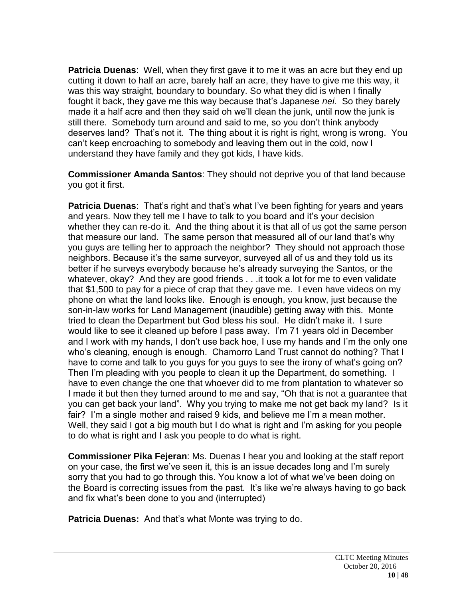**Patricia Duenas**: Well, when they first gave it to me it was an acre but they end up cutting it down to half an acre, barely half an acre, they have to give me this way, it was this way straight, boundary to boundary. So what they did is when I finally fought it back, they gave me this way because that's Japanese *nei.* So they barely made it a half acre and then they said oh we'll clean the junk, until now the junk is still there. Somebody turn around and said to me, so you don't think anybody deserves land? That's not it. The thing about it is right is right, wrong is wrong. You can't keep encroaching to somebody and leaving them out in the cold, now I understand they have family and they got kids, I have kids.

**Commissioner Amanda Santos**: They should not deprive you of that land because you got it first.

**Patricia Duenas**: That's right and that's what I've been fighting for years and years and years. Now they tell me I have to talk to you board and it's your decision whether they can re-do it. And the thing about it is that all of us got the same person that measure our land. The same person that measured all of our land that's why you guys are telling her to approach the neighbor? They should not approach those neighbors. Because it's the same surveyor, surveyed all of us and they told us its better if he surveys everybody because he's already surveying the Santos, or the whatever, okay? And they are good friends . . .it took a lot for me to even validate that \$1,500 to pay for a piece of crap that they gave me. I even have videos on my phone on what the land looks like. Enough is enough, you know, just because the son-in-law works for Land Management (inaudible) getting away with this. Monte tried to clean the Department but God bless his soul. He didn't make it. I sure would like to see it cleaned up before I pass away. I'm 71 years old in December and I work with my hands, I don't use back hoe, I use my hands and I'm the only one who's cleaning, enough is enough. Chamorro Land Trust cannot do nothing? That I have to come and talk to you guys for you guys to see the irony of what's going on? Then I'm pleading with you people to clean it up the Department, do something. I have to even change the one that whoever did to me from plantation to whatever so I made it but then they turned around to me and say, "Oh that is not a guarantee that you can get back your land". Why you trying to make me not get back my land? Is it fair? I'm a single mother and raised 9 kids, and believe me I'm a mean mother. Well, they said I got a big mouth but I do what is right and I'm asking for you people to do what is right and I ask you people to do what is right.

**Commissioner Pika Fejeran**: Ms. Duenas I hear you and looking at the staff report on your case, the first we've seen it, this is an issue decades long and I'm surely sorry that you had to go through this. You know a lot of what we've been doing on the Board is correcting issues from the past. It's like we're always having to go back and fix what's been done to you and (interrupted)

**Patricia Duenas:** And that's what Monte was trying to do.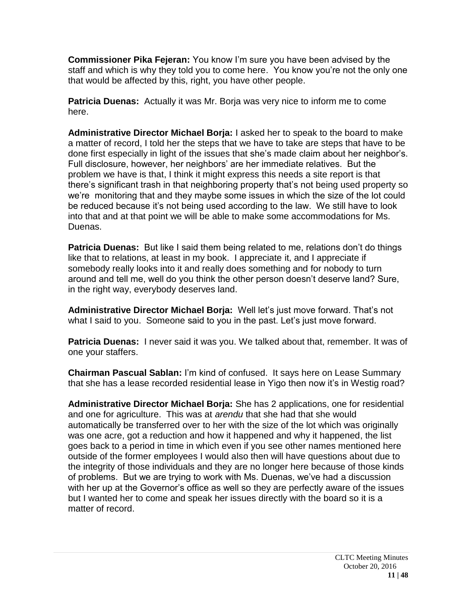**Commissioner Pika Fejeran:** You know I'm sure you have been advised by the staff and which is why they told you to come here. You know you're not the only one that would be affected by this, right, you have other people.

**Patricia Duenas:** Actually it was Mr. Borja was very nice to inform me to come here.

**Administrative Director Michael Borja:** I asked her to speak to the board to make a matter of record, I told her the steps that we have to take are steps that have to be done first especially in light of the issues that she's made claim about her neighbor's. Full disclosure, however, her neighbors' are her immediate relatives. But the problem we have is that, I think it might express this needs a site report is that there's significant trash in that neighboring property that's not being used property so we're monitoring that and they maybe some issues in which the size of the lot could be reduced because it's not being used according to the law. We still have to look into that and at that point we will be able to make some accommodations for Ms. Duenas.

**Patricia Duenas:** But like I said them being related to me, relations don't do things like that to relations, at least in my book. I appreciate it, and I appreciate if somebody really looks into it and really does something and for nobody to turn around and tell me, well do you think the other person doesn't deserve land? Sure, in the right way, everybody deserves land.

**Administrative Director Michael Borja:** Well let's just move forward. That's not what I said to you. Someone said to you in the past. Let's just move forward.

**Patricia Duenas:** I never said it was you. We talked about that, remember. It was of one your staffers.

**Chairman Pascual Sablan:** I'm kind of confused. It says here on Lease Summary that she has a lease recorded residential lease in Yigo then now it's in Westig road?

**Administrative Director Michael Borja:** She has 2 applications, one for residential and one for agriculture. This was at *arendu* that she had that she would automatically be transferred over to her with the size of the lot which was originally was one acre, got a reduction and how it happened and why it happened, the list goes back to a period in time in which even if you see other names mentioned here outside of the former employees I would also then will have questions about due to the integrity of those individuals and they are no longer here because of those kinds of problems. But we are trying to work with Ms. Duenas, we've had a discussion with her up at the Governor's office as well so they are perfectly aware of the issues but I wanted her to come and speak her issues directly with the board so it is a matter of record.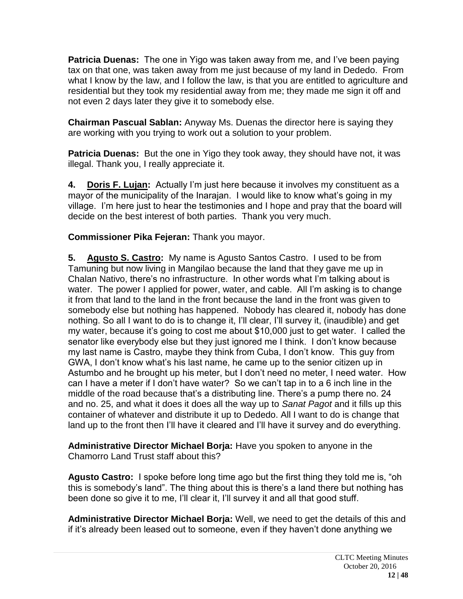**Patricia Duenas:** The one in Yigo was taken away from me, and I've been paying tax on that one, was taken away from me just because of my land in Dededo. From what I know by the law, and I follow the law, is that you are entitled to agriculture and residential but they took my residential away from me; they made me sign it off and not even 2 days later they give it to somebody else.

**Chairman Pascual Sablan:** Anyway Ms. Duenas the director here is saying they are working with you trying to work out a solution to your problem.

**Patricia Duenas:** But the one in Yigo they took away, they should have not, it was illegal. Thank you, I really appreciate it.

**4. Doris F. Lujan:** Actually I'm just here because it involves my constituent as a mayor of the municipality of the Inarajan. I would like to know what's going in my village. I'm here just to hear the testimonies and I hope and pray that the board will decide on the best interest of both parties. Thank you very much.

**Commissioner Pika Fejeran:** Thank you mayor.

**5. Agusto S. Castro:** My name is Agusto Santos Castro. I used to be from Tamuning but now living in Mangilao because the land that they gave me up in Chalan Nativo, there's no infrastructure. In other words what I'm talking about is water. The power I applied for power, water, and cable. All I'm asking is to change it from that land to the land in the front because the land in the front was given to somebody else but nothing has happened. Nobody has cleared it, nobody has done nothing. So all I want to do is to change it, I'll clear, I'll survey it, (inaudible) and get my water, because it's going to cost me about \$10,000 just to get water. I called the senator like everybody else but they just ignored me I think. I don't know because my last name is Castro, maybe they think from Cuba, I don't know. This guy from GWA, I don't know what's his last name, he came up to the senior citizen up in Astumbo and he brought up his meter, but I don't need no meter, I need water. How can I have a meter if I don't have water? So we can't tap in to a 6 inch line in the middle of the road because that's a distributing line. There's a pump there no. 24 and no. 25, and what it does it does all the way up to *Sanat Pagot* and it fills up this container of whatever and distribute it up to Dededo. All I want to do is change that land up to the front then I'll have it cleared and I'll have it survey and do everything.

**Administrative Director Michael Borja:** Have you spoken to anyone in the Chamorro Land Trust staff about this?

**Agusto Castro:** I spoke before long time ago but the first thing they told me is, "oh this is somebody's land". The thing about this is there's a land there but nothing has been done so give it to me, I'll clear it, I'll survey it and all that good stuff.

**Administrative Director Michael Borja:** Well, we need to get the details of this and if it's already been leased out to someone, even if they haven't done anything we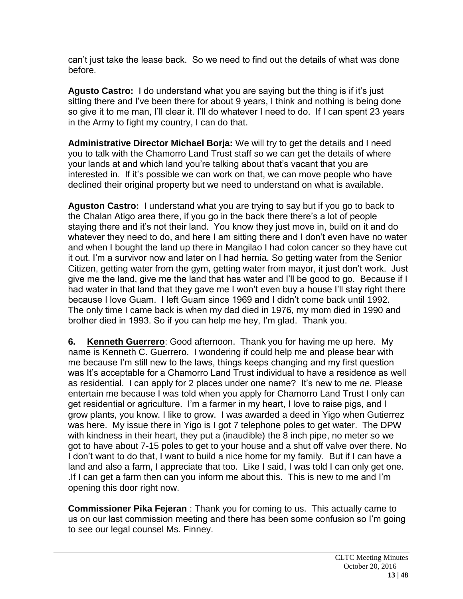can't just take the lease back. So we need to find out the details of what was done before.

**Agusto Castro:** I do understand what you are saying but the thing is if it's just sitting there and I've been there for about 9 years, I think and nothing is being done so give it to me man, I'll clear it. I'll do whatever I need to do. If I can spent 23 years in the Army to fight my country, I can do that.

**Administrative Director Michael Borja:** We will try to get the details and I need you to talk with the Chamorro Land Trust staff so we can get the details of where your lands at and which land you're talking about that's vacant that you are interested in. If it's possible we can work on that, we can move people who have declined their original property but we need to understand on what is available.

**Aguston Castro:** I understand what you are trying to say but if you go to back to the Chalan Atigo area there, if you go in the back there there's a lot of people staying there and it's not their land. You know they just move in, build on it and do whatever they need to do, and here I am sitting there and I don't even have no water and when I bought the land up there in Mangilao I had colon cancer so they have cut it out. I'm a survivor now and later on I had hernia. So getting water from the Senior Citizen, getting water from the gym, getting water from mayor, it just don't work. Just give me the land, give me the land that has water and I'll be good to go. Because if I had water in that land that they gave me I won't even buy a house I'll stay right there because I love Guam. I left Guam since 1969 and I didn't come back until 1992. The only time I came back is when my dad died in 1976, my mom died in 1990 and brother died in 1993. So if you can help me hey, I'm glad. Thank you.

**6. Kenneth Guerrero**: Good afternoon. Thank you for having me up here. My name is Kenneth C. Guerrero. I wondering if could help me and please bear with me because I'm still new to the laws, things keeps changing and my first question was It's acceptable for a Chamorro Land Trust individual to have a residence as well as residential. I can apply for 2 places under one name? It's new to me *ne.* Please entertain me because I was told when you apply for Chamorro Land Trust I only can get residential or agriculture. I'm a farmer in my heart, I love to raise pigs, and I grow plants, you know. I like to grow. I was awarded a deed in Yigo when Gutierrez was here. My issue there in Yigo is I got 7 telephone poles to get water. The DPW with kindness in their heart, they put a (inaudible) the 8 inch pipe, no meter so we got to have about 7-15 poles to get to your house and a shut off valve over there. No I don't want to do that, I want to build a nice home for my family. But if I can have a land and also a farm, I appreciate that too. Like I said, I was told I can only get one. .If I can get a farm then can you inform me about this. This is new to me and I'm opening this door right now.

**Commissioner Pika Fejeran** : Thank you for coming to us. This actually came to us on our last commission meeting and there has been some confusion so I'm going to see our legal counsel Ms. Finney.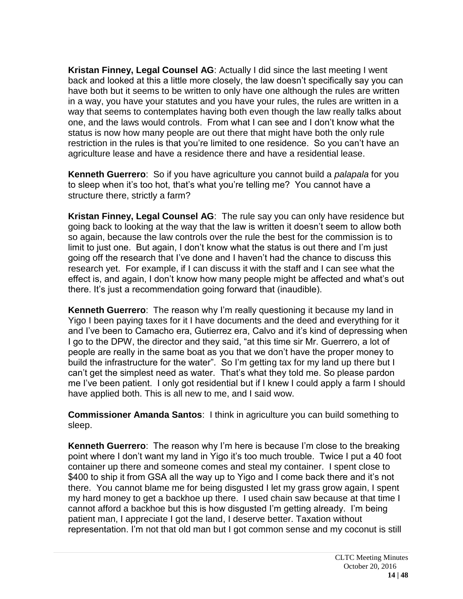**Kristan Finney, Legal Counsel AG**: Actually I did since the last meeting I went back and looked at this a little more closely, the law doesn't specifically say you can have both but it seems to be written to only have one although the rules are written in a way, you have your statutes and you have your rules, the rules are written in a way that seems to contemplates having both even though the law really talks about one, and the laws would controls. From what I can see and I don't know what the status is now how many people are out there that might have both the only rule restriction in the rules is that you're limited to one residence. So you can't have an agriculture lease and have a residence there and have a residential lease.

**Kenneth Guerrero**: So if you have agriculture you cannot build a *palapala* for you to sleep when it's too hot, that's what you're telling me? You cannot have a structure there, strictly a farm?

**Kristan Finney, Legal Counsel AG**: The rule say you can only have residence but going back to looking at the way that the law is written it doesn't seem to allow both so again, because the law controls over the rule the best for the commission is to limit to just one. But again, I don't know what the status is out there and I'm just going off the research that I've done and I haven't had the chance to discuss this research yet. For example, if I can discuss it with the staff and I can see what the effect is, and again, I don't know how many people might be affected and what's out there. It's just a recommendation going forward that (inaudible).

**Kenneth Guerrero**: The reason why I'm really questioning it because my land in Yigo I been paying taxes for it I have documents and the deed and everything for it and I've been to Camacho era, Gutierrez era, Calvo and it's kind of depressing when I go to the DPW, the director and they said, "at this time sir Mr. Guerrero, a lot of people are really in the same boat as you that we don't have the proper money to build the infrastructure for the water". So I'm getting tax for my land up there but I can't get the simplest need as water. That's what they told me. So please pardon me I've been patient. I only got residential but if I knew I could apply a farm I should have applied both. This is all new to me, and I said wow.

**Commissioner Amanda Santos**: I think in agriculture you can build something to sleep.

**Kenneth Guerrero**: The reason why I'm here is because I'm close to the breaking point where I don't want my land in Yigo it's too much trouble. Twice I put a 40 foot container up there and someone comes and steal my container. I spent close to \$400 to ship it from GSA all the way up to Yigo and I come back there and it's not there. You cannot blame me for being disgusted I let my grass grow again, I spent my hard money to get a backhoe up there. I used chain saw because at that time I cannot afford a backhoe but this is how disgusted I'm getting already. I'm being patient man, I appreciate I got the land, I deserve better. Taxation without representation. I'm not that old man but I got common sense and my coconut is still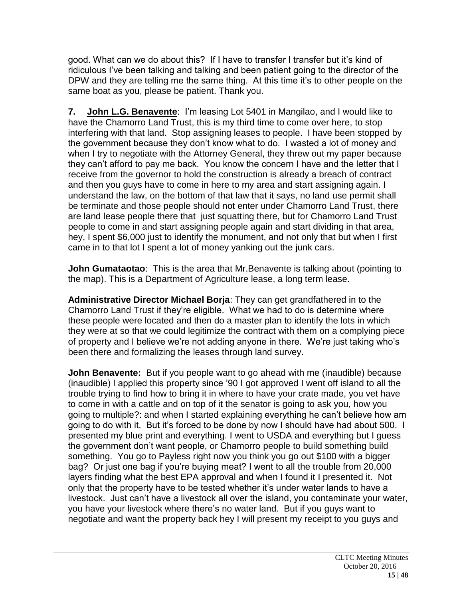good. What can we do about this? If I have to transfer I transfer but it's kind of ridiculous I've been talking and talking and been patient going to the director of the DPW and they are telling me the same thing. At this time it's to other people on the same boat as you, please be patient. Thank you.

**7. John L.G. Benavente**: I'm leasing Lot 5401 in Mangilao, and I would like to have the Chamorro Land Trust, this is my third time to come over here, to stop interfering with that land. Stop assigning leases to people. I have been stopped by the government because they don't know what to do. I wasted a lot of money and when I try to negotiate with the Attorney General, they threw out my paper because they can't afford to pay me back. You know the concern I have and the letter that I receive from the governor to hold the construction is already a breach of contract and then you guys have to come in here to my area and start assigning again. I understand the law, on the bottom of that law that it says, no land use permit shall be terminate and those people should not enter under Chamorro Land Trust, there are land lease people there that just squatting there, but for Chamorro Land Trust people to come in and start assigning people again and start dividing in that area, hey, I spent \$6,000 just to identify the monument, and not only that but when I first came in to that lot I spent a lot of money yanking out the junk cars.

**John Gumataotao**: This is the area that Mr.Benavente is talking about (pointing to the map). This is a Department of Agriculture lease, a long term lease.

**Administrative Director Michael Borja**: They can get grandfathered in to the Chamorro Land Trust if they're eligible. What we had to do is determine where these people were located and then do a master plan to identify the lots in which they were at so that we could legitimize the contract with them on a complying piece of property and I believe we're not adding anyone in there. We're just taking who's been there and formalizing the leases through land survey.

**John Benavente:** But if you people want to go ahead with me (inaudible) because (inaudible) I applied this property since '90 I got approved I went off island to all the trouble trying to find how to bring it in where to have your crate made, you vet have to come in with a cattle and on top of it the senator is going to ask you, how you going to multiple?: and when I started explaining everything he can't believe how am going to do with it. But it's forced to be done by now I should have had about 500. I presented my blue print and everything. I went to USDA and everything but I guess the government don't want people, or Chamorro people to build something build something. You go to Payless right now you think you go out \$100 with a bigger bag? Or just one bag if you're buying meat? I went to all the trouble from 20,000 layers finding what the best EPA approval and when I found it I presented it. Not only that the property have to be tested whether it's under water lands to have a livestock. Just can't have a livestock all over the island, you contaminate your water, you have your livestock where there's no water land. But if you guys want to negotiate and want the property back hey I will present my receipt to you guys and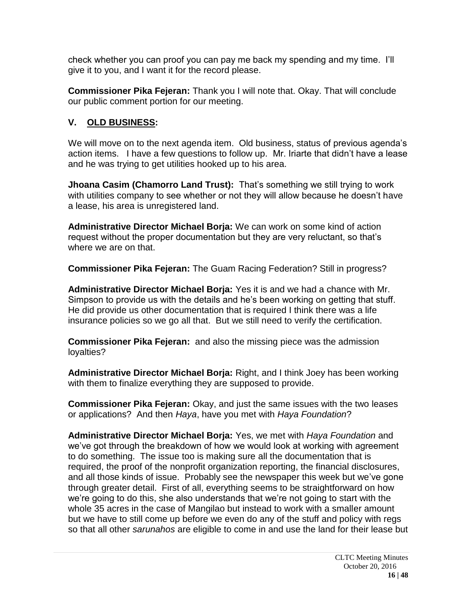check whether you can proof you can pay me back my spending and my time. I'll give it to you, and I want it for the record please.

**Commissioner Pika Fejeran:** Thank you I will note that. Okay. That will conclude our public comment portion for our meeting.

# **V. OLD BUSINESS:**

We will move on to the next agenda item. Old business, status of previous agenda's action items. I have a few questions to follow up. Mr. Iriarte that didn't have a lease and he was trying to get utilities hooked up to his area.

**Jhoana Casim (Chamorro Land Trust):** That's something we still trying to work with utilities company to see whether or not they will allow because he doesn't have a lease, his area is unregistered land.

**Administrative Director Michael Borja:** We can work on some kind of action request without the proper documentation but they are very reluctant, so that's where we are on that.

**Commissioner Pika Fejeran:** The Guam Racing Federation? Still in progress?

**Administrative Director Michael Borja:** Yes it is and we had a chance with Mr. Simpson to provide us with the details and he's been working on getting that stuff. He did provide us other documentation that is required I think there was a life insurance policies so we go all that. But we still need to verify the certification.

**Commissioner Pika Fejeran:** and also the missing piece was the admission loyalties?

**Administrative Director Michael Borja:** Right, and I think Joey has been working with them to finalize everything they are supposed to provide.

**Commissioner Pika Fejeran:** Okay, and just the same issues with the two leases or applications? And then *Haya*, have you met with *Haya Foundation*?

**Administrative Director Michael Borja:** Yes, we met with *Haya Foundation* and we've got through the breakdown of how we would look at working with agreement to do something. The issue too is making sure all the documentation that is required, the proof of the nonprofit organization reporting, the financial disclosures, and all those kinds of issue. Probably see the newspaper this week but we've gone through greater detail. First of all, everything seems to be straightforward on how we're going to do this, she also understands that we're not going to start with the whole 35 acres in the case of Mangilao but instead to work with a smaller amount but we have to still come up before we even do any of the stuff and policy with regs so that all other *sarunahos* are eligible to come in and use the land for their lease but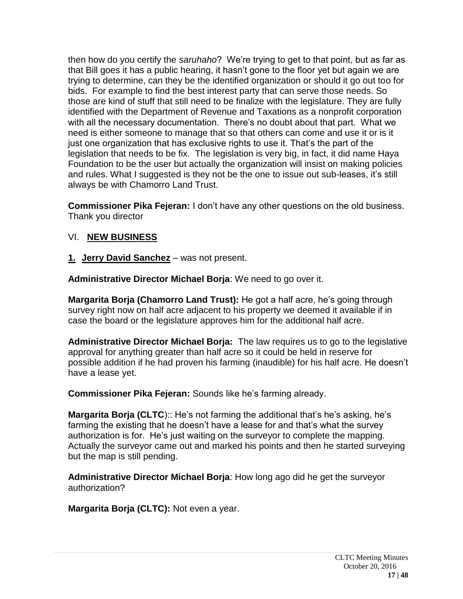then how do you certify the *saruhaho*? We're trying to get to that point, but as far as that Bill goes it has a public hearing, it hasn't gone to the floor yet but again we are trying to determine, can they be the identified organization or should it go out too for bids. For example to find the best interest party that can serve those needs. So those are kind of stuff that still need to be finalize with the legislature. They are fully identified with the Department of Revenue and Taxations as a nonprofit corporation with all the necessary documentation. There's no doubt about that part. What we need is either someone to manage that so that others can come and use it or is it just one organization that has exclusive rights to use it. That's the part of the legislation that needs to be fix. The legislation is very big, in fact, it did name Haya Foundation to be the user but actually the organization will insist on making policies and rules. What I suggested is they not be the one to issue out sub-leases, it's still always be with Chamorro Land Trust.

**Commissioner Pika Fejeran:** I don't have any other questions on the old business. Thank you director

## VI. **NEW BUSINESS**

**1. Jerry David Sanchez** – was not present.

**Administrative Director Michael Borja**: We need to go over it.

**Margarita Borja (Chamorro Land Trust):** He got a half acre, he's going through survey right now on half acre adjacent to his property we deemed it available if in case the board or the legislature approves him for the additional half acre.

**Administrative Director Michael Borja:** The law requires us to go to the legislative approval for anything greater than half acre so it could be held in reserve for possible addition if he had proven his farming (inaudible) for his half acre. He doesn't have a lease yet.

**Commissioner Pika Fejeran:** Sounds like he's farming already.

**Margarita Borja (CLTC**):: He's not farming the additional that's he's asking, he's farming the existing that he doesn't have a lease for and that's what the survey authorization is for. He's just waiting on the surveyor to complete the mapping. Actually the surveyor came out and marked his points and then he started surveying but the map is still pending.

**Administrative Director Michael Borja**: How long ago did he get the surveyor authorization?

**Margarita Borja (CLTC):** Not even a year.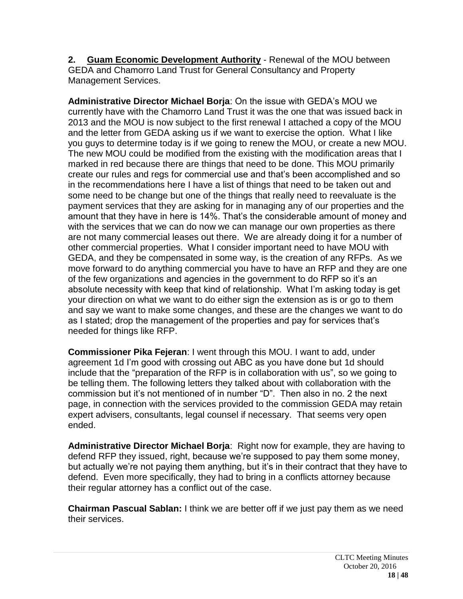**2. Guam Economic Development Authority** - Renewal of the MOU between GEDA and Chamorro Land Trust for General Consultancy and Property Management Services.

**Administrative Director Michael Borja**: On the issue with GEDA's MOU we currently have with the Chamorro Land Trust it was the one that was issued back in 2013 and the MOU is now subject to the first renewal I attached a copy of the MOU and the letter from GEDA asking us if we want to exercise the option. What I like you guys to determine today is if we going to renew the MOU, or create a new MOU. The new MOU could be modified from the existing with the modification areas that I marked in red because there are things that need to be done. This MOU primarily create our rules and regs for commercial use and that's been accomplished and so in the recommendations here I have a list of things that need to be taken out and some need to be change but one of the things that really need to reevaluate is the payment services that they are asking for in managing any of our properties and the amount that they have in here is 14%. That's the considerable amount of money and with the services that we can do now we can manage our own properties as there are not many commercial leases out there. We are already doing it for a number of other commercial properties. What I consider important need to have MOU with GEDA, and they be compensated in some way, is the creation of any RFPs. As we move forward to do anything commercial you have to have an RFP and they are one of the few organizations and agencies in the government to do RFP so it's an absolute necessity with keep that kind of relationship. What I'm asking today is get your direction on what we want to do either sign the extension as is or go to them and say we want to make some changes, and these are the changes we want to do as I stated; drop the management of the properties and pay for services that's needed for things like RFP.

**Commissioner Pika Fejeran**: I went through this MOU. I want to add, under agreement 1d I'm good with crossing out ABC as you have done but 1d should include that the "preparation of the RFP is in collaboration with us", so we going to be telling them. The following letters they talked about with collaboration with the commission but it's not mentioned of in number "D". Then also in no. 2 the next page, in connection with the services provided to the commission GEDA may retain expert advisers, consultants, legal counsel if necessary. That seems very open ended.

**Administrative Director Michael Borja**: Right now for example, they are having to defend RFP they issued, right, because we're supposed to pay them some money, but actually we're not paying them anything, but it's in their contract that they have to defend. Even more specifically, they had to bring in a conflicts attorney because their regular attorney has a conflict out of the case.

**Chairman Pascual Sablan:** I think we are better off if we just pay them as we need their services.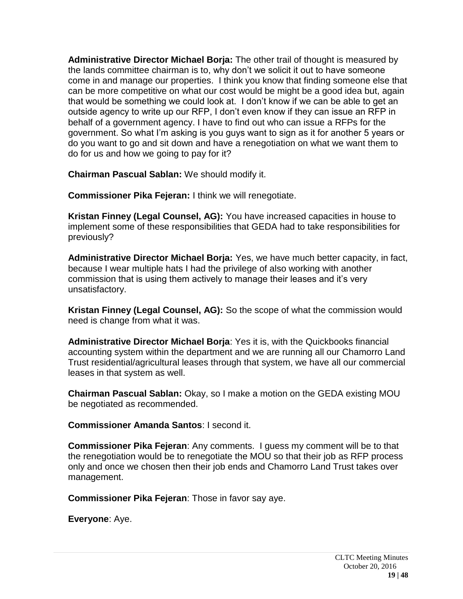**Administrative Director Michael Borja:** The other trail of thought is measured by the lands committee chairman is to, why don't we solicit it out to have someone come in and manage our properties. I think you know that finding someone else that can be more competitive on what our cost would be might be a good idea but, again that would be something we could look at. I don't know if we can be able to get an outside agency to write up our RFP, I don't even know if they can issue an RFP in behalf of a government agency. I have to find out who can issue a RFPs for the government. So what I'm asking is you guys want to sign as it for another 5 years or do you want to go and sit down and have a renegotiation on what we want them to do for us and how we going to pay for it?

**Chairman Pascual Sablan:** We should modify it.

**Commissioner Pika Fejeran:** I think we will renegotiate.

**Kristan Finney (Legal Counsel, AG):** You have increased capacities in house to implement some of these responsibilities that GEDA had to take responsibilities for previously?

**Administrative Director Michael Borja:** Yes, we have much better capacity, in fact, because I wear multiple hats I had the privilege of also working with another commission that is using them actively to manage their leases and it's very unsatisfactory.

**Kristan Finney (Legal Counsel, AG):** So the scope of what the commission would need is change from what it was.

**Administrative Director Michael Borja**: Yes it is, with the Quickbooks financial accounting system within the department and we are running all our Chamorro Land Trust residential/agricultural leases through that system, we have all our commercial leases in that system as well.

**Chairman Pascual Sablan:** Okay, so I make a motion on the GEDA existing MOU be negotiated as recommended.

**Commissioner Amanda Santos**: I second it.

**Commissioner Pika Fejeran**: Any comments. I guess my comment will be to that the renegotiation would be to renegotiate the MOU so that their job as RFP process only and once we chosen then their job ends and Chamorro Land Trust takes over management.

**Commissioner Pika Fejeran**: Those in favor say aye.

**Everyone**: Aye.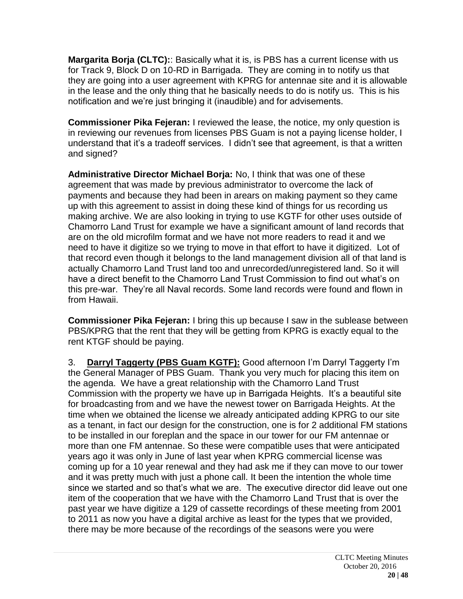**Margarita Borja (CLTC):**: Basically what it is, is PBS has a current license with us for Track 9, Block D on 10-RD in Barrigada. They are coming in to notify us that they are going into a user agreement with KPRG for antennae site and it is allowable in the lease and the only thing that he basically needs to do is notify us. This is his notification and we're just bringing it (inaudible) and for advisements.

**Commissioner Pika Fejeran:** I reviewed the lease, the notice, my only question is in reviewing our revenues from licenses PBS Guam is not a paying license holder, I understand that it's a tradeoff services. I didn't see that agreement, is that a written and signed?

**Administrative Director Michael Borja:** No, I think that was one of these agreement that was made by previous administrator to overcome the lack of payments and because they had been in arears on making payment so they came up with this agreement to assist in doing these kind of things for us recording us making archive. We are also looking in trying to use KGTF for other uses outside of Chamorro Land Trust for example we have a significant amount of land records that are on the old microfilm format and we have not more readers to read it and we need to have it digitize so we trying to move in that effort to have it digitized. Lot of that record even though it belongs to the land management division all of that land is actually Chamorro Land Trust land too and unrecorded/unregistered land. So it will have a direct benefit to the Chamorro Land Trust Commission to find out what's on this pre-war. They're all Naval records. Some land records were found and flown in from Hawaii.

**Commissioner Pika Fejeran:** I bring this up because I saw in the sublease between PBS/KPRG that the rent that they will be getting from KPRG is exactly equal to the rent KTGF should be paying.

3. **Darryl Taggerty (PBS Guam KGTF):** Good afternoon I'm Darryl Taggerty I'm the General Manager of PBS Guam. Thank you very much for placing this item on the agenda. We have a great relationship with the Chamorro Land Trust Commission with the property we have up in Barrigada Heights. It's a beautiful site for broadcasting from and we have the newest tower on Barrigada Heights. At the time when we obtained the license we already anticipated adding KPRG to our site as a tenant, in fact our design for the construction, one is for 2 additional FM stations to be installed in our foreplan and the space in our tower for our FM antennae or more than one FM antennae. So these were compatible uses that were anticipated years ago it was only in June of last year when KPRG commercial license was coming up for a 10 year renewal and they had ask me if they can move to our tower and it was pretty much with just a phone call. It been the intention the whole time since we started and so that's what we are. The executive director did leave out one item of the cooperation that we have with the Chamorro Land Trust that is over the past year we have digitize a 129 of cassette recordings of these meeting from 2001 to 2011 as now you have a digital archive as least for the types that we provided, there may be more because of the recordings of the seasons were you were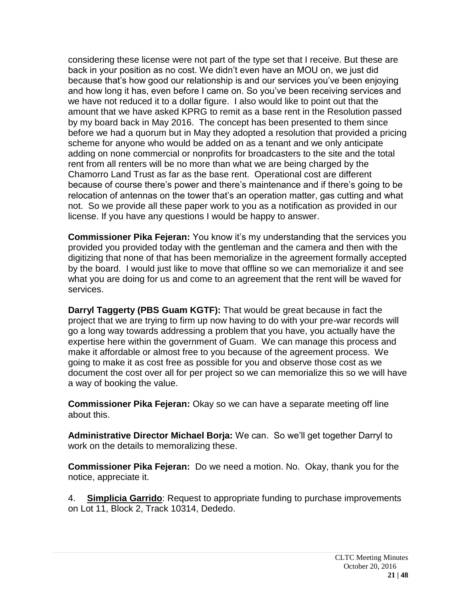considering these license were not part of the type set that I receive. But these are back in your position as no cost. We didn't even have an MOU on, we just did because that's how good our relationship is and our services you've been enjoying and how long it has, even before I came on. So you've been receiving services and we have not reduced it to a dollar figure. I also would like to point out that the amount that we have asked KPRG to remit as a base rent in the Resolution passed by my board back in May 2016. The concept has been presented to them since before we had a quorum but in May they adopted a resolution that provided a pricing scheme for anyone who would be added on as a tenant and we only anticipate adding on none commercial or nonprofits for broadcasters to the site and the total rent from all renters will be no more than what we are being charged by the Chamorro Land Trust as far as the base rent. Operational cost are different because of course there's power and there's maintenance and if there's going to be relocation of antennas on the tower that's an operation matter, gas cutting and what not. So we provide all these paper work to you as a notification as provided in our license. If you have any questions I would be happy to answer.

**Commissioner Pika Fejeran:** You know it's my understanding that the services you provided you provided today with the gentleman and the camera and then with the digitizing that none of that has been memorialize in the agreement formally accepted by the board. I would just like to move that offline so we can memorialize it and see what you are doing for us and come to an agreement that the rent will be waved for services.

**Darryl Taggerty (PBS Guam KGTF):** That would be great because in fact the project that we are trying to firm up now having to do with your pre-war records will go a long way towards addressing a problem that you have, you actually have the expertise here within the government of Guam. We can manage this process and make it affordable or almost free to you because of the agreement process. We going to make it as cost free as possible for you and observe those cost as we document the cost over all for per project so we can memorialize this so we will have a way of booking the value.

**Commissioner Pika Fejeran:** Okay so we can have a separate meeting off line about this.

**Administrative Director Michael Borja:** We can. So we'll get together Darryl to work on the details to memoralizing these.

**Commissioner Pika Fejeran:** Do we need a motion. No. Okay, thank you for the notice, appreciate it.

4. **Simplicia Garrido**: Request to appropriate funding to purchase improvements on Lot 11, Block 2, Track 10314, Dededo.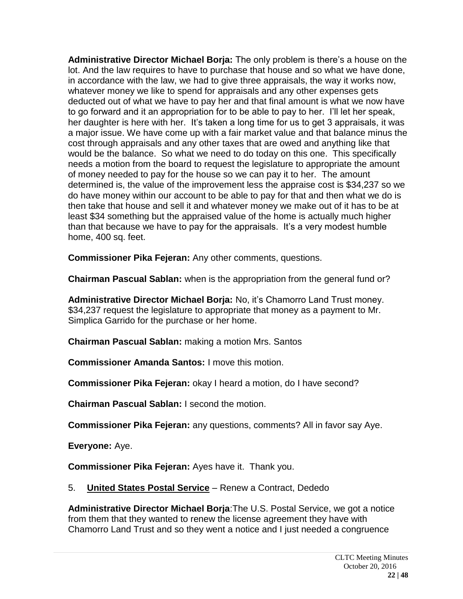**Administrative Director Michael Borja:** The only problem is there's a house on the lot. And the law requires to have to purchase that house and so what we have done, in accordance with the law, we had to give three appraisals, the way it works now, whatever money we like to spend for appraisals and any other expenses gets deducted out of what we have to pay her and that final amount is what we now have to go forward and it an appropriation for to be able to pay to her. I'll let her speak, her daughter is here with her. It's taken a long time for us to get 3 appraisals, it was a major issue. We have come up with a fair market value and that balance minus the cost through appraisals and any other taxes that are owed and anything like that would be the balance. So what we need to do today on this one. This specifically needs a motion from the board to request the legislature to appropriate the amount of money needed to pay for the house so we can pay it to her. The amount determined is, the value of the improvement less the appraise cost is \$34,237 so we do have money within our account to be able to pay for that and then what we do is then take that house and sell it and whatever money we make out of it has to be at least \$34 something but the appraised value of the home is actually much higher than that because we have to pay for the appraisals. It's a very modest humble home, 400 sq. feet.

**Commissioner Pika Fejeran:** Any other comments, questions.

**Chairman Pascual Sablan:** when is the appropriation from the general fund or?

**Administrative Director Michael Borja:** No, it's Chamorro Land Trust money. \$34,237 request the legislature to appropriate that money as a payment to Mr. Simplica Garrido for the purchase or her home.

**Chairman Pascual Sablan:** making a motion Mrs. Santos

**Commissioner Amanda Santos:** I move this motion.

**Commissioner Pika Fejeran:** okay I heard a motion, do I have second?

**Chairman Pascual Sablan:** I second the motion.

**Commissioner Pika Fejeran:** any questions, comments? All in favor say Aye.

**Everyone:** Aye.

**Commissioner Pika Fejeran:** Ayes have it. Thank you.

## 5. **United States Postal Service** – Renew a Contract, Dededo

**Administrative Director Michael Borja**:The U.S. Postal Service, we got a notice from them that they wanted to renew the license agreement they have with Chamorro Land Trust and so they went a notice and I just needed a congruence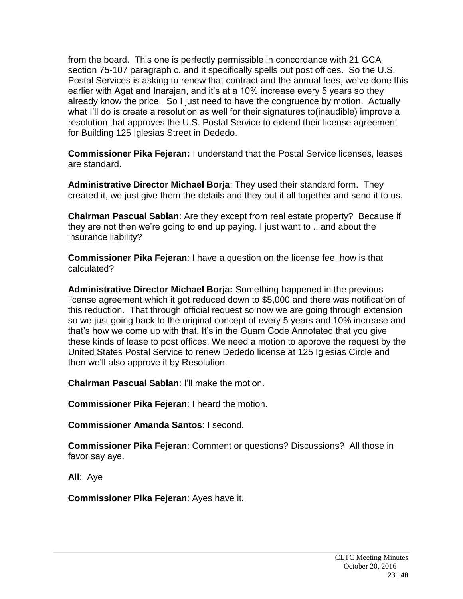from the board. This one is perfectly permissible in concordance with 21 GCA section 75-107 paragraph c. and it specifically spells out post offices. So the U.S. Postal Services is asking to renew that contract and the annual fees, we've done this earlier with Agat and Inarajan, and it's at a 10% increase every 5 years so they already know the price. So I just need to have the congruence by motion. Actually what I'll do is create a resolution as well for their signatures to(inaudible) improve a resolution that approves the U.S. Postal Service to extend their license agreement for Building 125 Iglesias Street in Dededo.

**Commissioner Pika Fejeran:** I understand that the Postal Service licenses, leases are standard.

**Administrative Director Michael Borja**: They used their standard form. They created it, we just give them the details and they put it all together and send it to us.

**Chairman Pascual Sablan**: Are they except from real estate property? Because if they are not then we're going to end up paying. I just want to .. and about the insurance liability?

**Commissioner Pika Fejeran**: I have a question on the license fee, how is that calculated?

**Administrative Director Michael Borja:** Something happened in the previous license agreement which it got reduced down to \$5,000 and there was notification of this reduction. That through official request so now we are going through extension so we just going back to the original concept of every 5 years and 10% increase and that's how we come up with that. It's in the Guam Code Annotated that you give these kinds of lease to post offices. We need a motion to approve the request by the United States Postal Service to renew Dededo license at 125 Iglesias Circle and then we'll also approve it by Resolution.

**Chairman Pascual Sablan**: I'll make the motion.

**Commissioner Pika Fejeran**: I heard the motion.

**Commissioner Amanda Santos**: I second.

**Commissioner Pika Fejeran**: Comment or questions? Discussions? All those in favor say aye.

**All**: Aye

**Commissioner Pika Fejeran**: Ayes have it.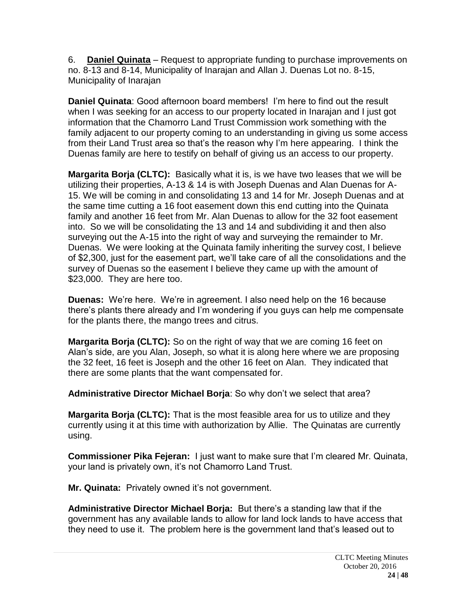6. **Daniel Quinata** – Request to appropriate funding to purchase improvements on no. 8-13 and 8-14, Municipality of Inarajan and Allan J. Duenas Lot no. 8-15, Municipality of Inarajan

**Daniel Quinata**: Good afternoon board members! I'm here to find out the result when I was seeking for an access to our property located in Inarajan and I just got information that the Chamorro Land Trust Commission work something with the family adjacent to our property coming to an understanding in giving us some access from their Land Trust area so that's the reason why I'm here appearing. I think the Duenas family are here to testify on behalf of giving us an access to our property.

**Margarita Borja (CLTC):** Basically what it is, is we have two leases that we will be utilizing their properties, A-13 & 14 is with Joseph Duenas and Alan Duenas for A-15. We will be coming in and consolidating 13 and 14 for Mr. Joseph Duenas and at the same time cutting a 16 foot easement down this end cutting into the Quinata family and another 16 feet from Mr. Alan Duenas to allow for the 32 foot easement into. So we will be consolidating the 13 and 14 and subdividing it and then also surveying out the A-15 into the right of way and surveying the remainder to Mr. Duenas. We were looking at the Quinata family inheriting the survey cost, I believe of \$2,300, just for the easement part, we'll take care of all the consolidations and the survey of Duenas so the easement I believe they came up with the amount of \$23,000. They are here too.

**Duenas:** We're here. We're in agreement. I also need help on the 16 because there's plants there already and I'm wondering if you guys can help me compensate for the plants there, the mango trees and citrus.

**Margarita Borja (CLTC):** So on the right of way that we are coming 16 feet on Alan's side, are you Alan, Joseph, so what it is along here where we are proposing the 32 feet, 16 feet is Joseph and the other 16 feet on Alan. They indicated that there are some plants that the want compensated for.

**Administrative Director Michael Borja**: So why don't we select that area?

**Margarita Borja (CLTC):** That is the most feasible area for us to utilize and they currently using it at this time with authorization by Allie. The Quinatas are currently using.

**Commissioner Pika Fejeran:** I just want to make sure that I'm cleared Mr. Quinata, your land is privately own, it's not Chamorro Land Trust.

**Mr. Quinata:** Privately owned it's not government.

**Administrative Director Michael Borja:** But there's a standing law that if the government has any available lands to allow for land lock lands to have access that they need to use it. The problem here is the government land that's leased out to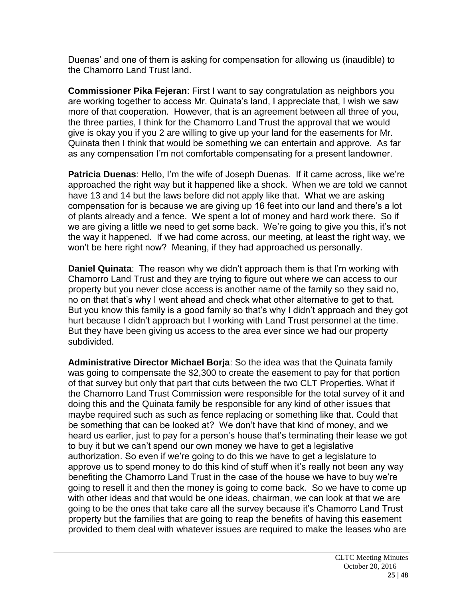Duenas' and one of them is asking for compensation for allowing us (inaudible) to the Chamorro Land Trust land.

**Commissioner Pika Fejeran**: First I want to say congratulation as neighbors you are working together to access Mr. Quinata's land, I appreciate that, I wish we saw more of that cooperation. However, that is an agreement between all three of you, the three parties, I think for the Chamorro Land Trust the approval that we would give is okay you if you 2 are willing to give up your land for the easements for Mr. Quinata then I think that would be something we can entertain and approve. As far as any compensation I'm not comfortable compensating for a present landowner.

**Patricia Duenas**: Hello, I'm the wife of Joseph Duenas. If it came across, like we're approached the right way but it happened like a shock. When we are told we cannot have 13 and 14 but the laws before did not apply like that. What we are asking compensation for is because we are giving up 16 feet into our land and there's a lot of plants already and a fence. We spent a lot of money and hard work there. So if we are giving a little we need to get some back. We're going to give you this, it's not the way it happened. If we had come across, our meeting, at least the right way, we won't be here right now? Meaning, if they had approached us personally.

**Daniel Quinata**: The reason why we didn't approach them is that I'm working with Chamorro Land Trust and they are trying to figure out where we can access to our property but you never close access is another name of the family so they said no, no on that that's why I went ahead and check what other alternative to get to that. But you know this family is a good family so that's why I didn't approach and they got hurt because I didn't approach but I working with Land Trust personnel at the time. But they have been giving us access to the area ever since we had our property subdivided.

**Administrative Director Michael Borja**: So the idea was that the Quinata family was going to compensate the \$2,300 to create the easement to pay for that portion of that survey but only that part that cuts between the two CLT Properties. What if the Chamorro Land Trust Commission were responsible for the total survey of it and doing this and the Quinata family be responsible for any kind of other issues that maybe required such as such as fence replacing or something like that. Could that be something that can be looked at? We don't have that kind of money, and we heard us earlier, just to pay for a person's house that's terminating their lease we got to buy it but we can't spend our own money we have to get a legislative authorization. So even if we're going to do this we have to get a legislature to approve us to spend money to do this kind of stuff when it's really not been any way benefiting the Chamorro Land Trust in the case of the house we have to buy we're going to resell it and then the money is going to come back. So we have to come up with other ideas and that would be one ideas, chairman, we can look at that we are going to be the ones that take care all the survey because it's Chamorro Land Trust property but the families that are going to reap the benefits of having this easement provided to them deal with whatever issues are required to make the leases who are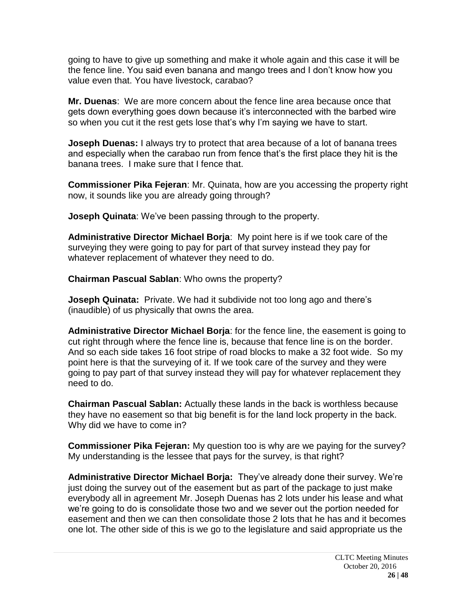going to have to give up something and make it whole again and this case it will be the fence line. You said even banana and mango trees and I don't know how you value even that. You have livestock, carabao?

**Mr. Duenas**: We are more concern about the fence line area because once that gets down everything goes down because it's interconnected with the barbed wire so when you cut it the rest gets lose that's why I'm saying we have to start.

**Joseph Duenas:** I always try to protect that area because of a lot of banana trees and especially when the carabao run from fence that's the first place they hit is the banana trees. I make sure that I fence that.

**Commissioner Pika Fejeran**: Mr. Quinata, how are you accessing the property right now, it sounds like you are already going through?

**Joseph Quinata**: We've been passing through to the property.

**Administrative Director Michael Borja**: My point here is if we took care of the surveying they were going to pay for part of that survey instead they pay for whatever replacement of whatever they need to do.

**Chairman Pascual Sablan**: Who owns the property?

**Joseph Quinata:** Private. We had it subdivide not too long ago and there's (inaudible) of us physically that owns the area.

**Administrative Director Michael Borja**: for the fence line, the easement is going to cut right through where the fence line is, because that fence line is on the border. And so each side takes 16 foot stripe of road blocks to make a 32 foot wide. So my point here is that the surveying of it. If we took care of the survey and they were going to pay part of that survey instead they will pay for whatever replacement they need to do.

**Chairman Pascual Sablan:** Actually these lands in the back is worthless because they have no easement so that big benefit is for the land lock property in the back. Why did we have to come in?

**Commissioner Pika Fejeran:** My question too is why are we paying for the survey? My understanding is the lessee that pays for the survey, is that right?

**Administrative Director Michael Borja:** They've already done their survey. We're just doing the survey out of the easement but as part of the package to just make everybody all in agreement Mr. Joseph Duenas has 2 lots under his lease and what we're going to do is consolidate those two and we sever out the portion needed for easement and then we can then consolidate those 2 lots that he has and it becomes one lot. The other side of this is we go to the legislature and said appropriate us the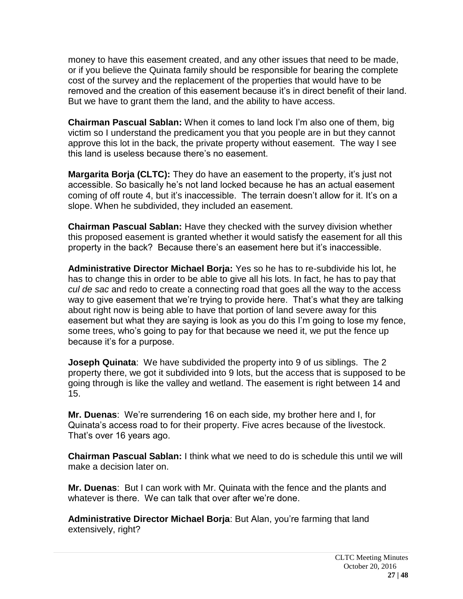money to have this easement created, and any other issues that need to be made, or if you believe the Quinata family should be responsible for bearing the complete cost of the survey and the replacement of the properties that would have to be removed and the creation of this easement because it's in direct benefit of their land. But we have to grant them the land, and the ability to have access.

**Chairman Pascual Sablan:** When it comes to land lock I'm also one of them, big victim so I understand the predicament you that you people are in but they cannot approve this lot in the back, the private property without easement. The way I see this land is useless because there's no easement.

**Margarita Borja (CLTC):** They do have an easement to the property, it's just not accessible. So basically he's not land locked because he has an actual easement coming of off route 4, but it's inaccessible. The terrain doesn't allow for it. It's on a slope. When he subdivided, they included an easement.

**Chairman Pascual Sablan:** Have they checked with the survey division whether this proposed easement is granted whether it would satisfy the easement for all this property in the back? Because there's an easement here but it's inaccessible.

**Administrative Director Michael Borja:** Yes so he has to re-subdivide his lot, he has to change this in order to be able to give all his lots. In fact, he has to pay that *cul de sac* and redo to create a connecting road that goes all the way to the access way to give easement that we're trying to provide here. That's what they are talking about right now is being able to have that portion of land severe away for this easement but what they are saying is look as you do this I'm going to lose my fence, some trees, who's going to pay for that because we need it, we put the fence up because it's for a purpose.

**Joseph Quinata**: We have subdivided the property into 9 of us siblings. The 2 property there, we got it subdivided into 9 lots, but the access that is supposed to be going through is like the valley and wetland. The easement is right between 14 and 15.

**Mr. Duenas**: We're surrendering 16 on each side, my brother here and I, for Quinata's access road to for their property. Five acres because of the livestock. That's over 16 years ago.

**Chairman Pascual Sablan:** I think what we need to do is schedule this until we will make a decision later on.

**Mr. Duenas**: But I can work with Mr. Quinata with the fence and the plants and whatever is there. We can talk that over after we're done.

**Administrative Director Michael Borja**: But Alan, you're farming that land extensively, right?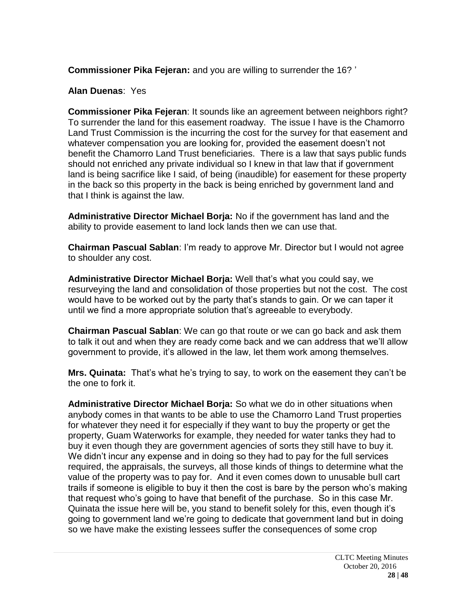**Commissioner Pika Fejeran:** and you are willing to surrender the 16? '

**Alan Duenas**: Yes

**Commissioner Pika Fejeran**: It sounds like an agreement between neighbors right? To surrender the land for this easement roadway. The issue I have is the Chamorro Land Trust Commission is the incurring the cost for the survey for that easement and whatever compensation you are looking for, provided the easement doesn't not benefit the Chamorro Land Trust beneficiaries. There is a law that says public funds should not enriched any private individual so I knew in that law that if government land is being sacrifice like I said, of being (inaudible) for easement for these property in the back so this property in the back is being enriched by government land and that I think is against the law.

**Administrative Director Michael Borja:** No if the government has land and the ability to provide easement to land lock lands then we can use that.

**Chairman Pascual Sablan**: I'm ready to approve Mr. Director but I would not agree to shoulder any cost.

**Administrative Director Michael Borja:** Well that's what you could say, we resurveying the land and consolidation of those properties but not the cost. The cost would have to be worked out by the party that's stands to gain. Or we can taper it until we find a more appropriate solution that's agreeable to everybody.

**Chairman Pascual Sablan**: We can go that route or we can go back and ask them to talk it out and when they are ready come back and we can address that we'll allow government to provide, it's allowed in the law, let them work among themselves.

**Mrs. Quinata:** That's what he's trying to say, to work on the easement they can't be the one to fork it.

**Administrative Director Michael Borja:** So what we do in other situations when anybody comes in that wants to be able to use the Chamorro Land Trust properties for whatever they need it for especially if they want to buy the property or get the property, Guam Waterworks for example, they needed for water tanks they had to buy it even though they are government agencies of sorts they still have to buy it. We didn't incur any expense and in doing so they had to pay for the full services required, the appraisals, the surveys, all those kinds of things to determine what the value of the property was to pay for. And it even comes down to unusable bull cart trails if someone is eligible to buy it then the cost is bare by the person who's making that request who's going to have that benefit of the purchase. So in this case Mr. Quinata the issue here will be, you stand to benefit solely for this, even though it's going to government land we're going to dedicate that government land but in doing so we have make the existing lessees suffer the consequences of some crop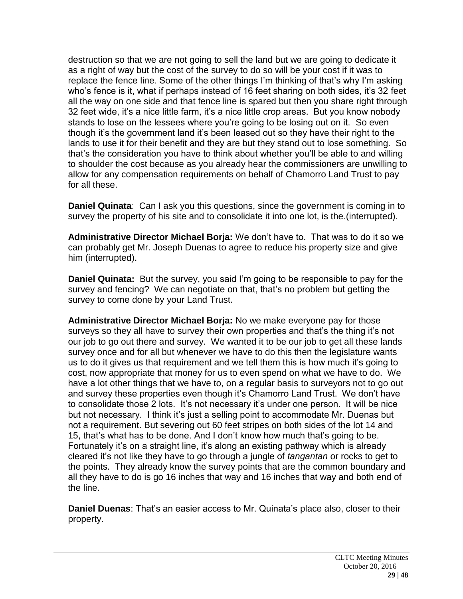destruction so that we are not going to sell the land but we are going to dedicate it as a right of way but the cost of the survey to do so will be your cost if it was to replace the fence line. Some of the other things I'm thinking of that's why I'm asking who's fence is it, what if perhaps instead of 16 feet sharing on both sides, it's 32 feet all the way on one side and that fence line is spared but then you share right through 32 feet wide, it's a nice little farm, it's a nice little crop areas. But you know nobody stands to lose on the lessees where you're going to be losing out on it. So even though it's the government land it's been leased out so they have their right to the lands to use it for their benefit and they are but they stand out to lose something. So that's the consideration you have to think about whether you'll be able to and willing to shoulder the cost because as you already hear the commissioners are unwilling to allow for any compensation requirements on behalf of Chamorro Land Trust to pay for all these.

**Daniel Quinata**: Can I ask you this questions, since the government is coming in to survey the property of his site and to consolidate it into one lot, is the.(interrupted).

**Administrative Director Michael Borja:** We don't have to. That was to do it so we can probably get Mr. Joseph Duenas to agree to reduce his property size and give him (interrupted).

**Daniel Quinata:** But the survey, you said I'm going to be responsible to pay for the survey and fencing? We can negotiate on that, that's no problem but getting the survey to come done by your Land Trust.

**Administrative Director Michael Borja:** No we make everyone pay for those surveys so they all have to survey their own properties and that's the thing it's not our job to go out there and survey. We wanted it to be our job to get all these lands survey once and for all but whenever we have to do this then the legislature wants us to do it gives us that requirement and we tell them this is how much it's going to cost, now appropriate that money for us to even spend on what we have to do. We have a lot other things that we have to, on a regular basis to surveyors not to go out and survey these properties even though it's Chamorro Land Trust. We don't have to consolidate those 2 lots. It's not necessary it's under one person. It will be nice but not necessary. I think it's just a selling point to accommodate Mr. Duenas but not a requirement. But severing out 60 feet stripes on both sides of the lot 14 and 15, that's what has to be done. And I don't know how much that's going to be. Fortunately it's on a straight line, it's along an existing pathway which is already cleared it's not like they have to go through a jungle of *tangantan* or rocks to get to the points. They already know the survey points that are the common boundary and all they have to do is go 16 inches that way and 16 inches that way and both end of the line.

**Daniel Duenas**: That's an easier access to Mr. Quinata's place also, closer to their property.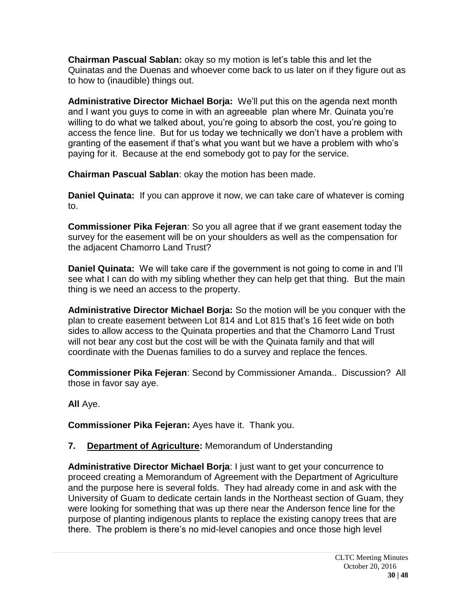**Chairman Pascual Sablan:** okay so my motion is let's table this and let the Quinatas and the Duenas and whoever come back to us later on if they figure out as to how to (inaudible) things out.

**Administrative Director Michael Borja:** We'll put this on the agenda next month and I want you guys to come in with an agreeable plan where Mr. Quinata you're willing to do what we talked about, you're going to absorb the cost, you're going to access the fence line. But for us today we technically we don't have a problem with granting of the easement if that's what you want but we have a problem with who's paying for it. Because at the end somebody got to pay for the service.

**Chairman Pascual Sablan**: okay the motion has been made.

**Daniel Quinata:** If you can approve it now, we can take care of whatever is coming to.

**Commissioner Pika Fejeran**: So you all agree that if we grant easement today the survey for the easement will be on your shoulders as well as the compensation for the adjacent Chamorro Land Trust?

**Daniel Quinata:** We will take care if the government is not going to come in and I'll see what I can do with my sibling whether they can help get that thing. But the main thing is we need an access to the property.

**Administrative Director Michael Borja:** So the motion will be you conquer with the plan to create easement between Lot 814 and Lot 815 that's 16 feet wide on both sides to allow access to the Quinata properties and that the Chamorro Land Trust will not bear any cost but the cost will be with the Quinata family and that will coordinate with the Duenas families to do a survey and replace the fences.

**Commissioner Pika Fejeran**: Second by Commissioner Amanda.. Discussion? All those in favor say aye.

**All** Aye.

**Commissioner Pika Fejeran:** Ayes have it. Thank you.

# **7. Department of Agriculture:** Memorandum of Understanding

**Administrative Director Michael Borja**: I just want to get your concurrence to proceed creating a Memorandum of Agreement with the Department of Agriculture and the purpose here is several folds. They had already come in and ask with the University of Guam to dedicate certain lands in the Northeast section of Guam, they were looking for something that was up there near the Anderson fence line for the purpose of planting indigenous plants to replace the existing canopy trees that are there. The problem is there's no mid-level canopies and once those high level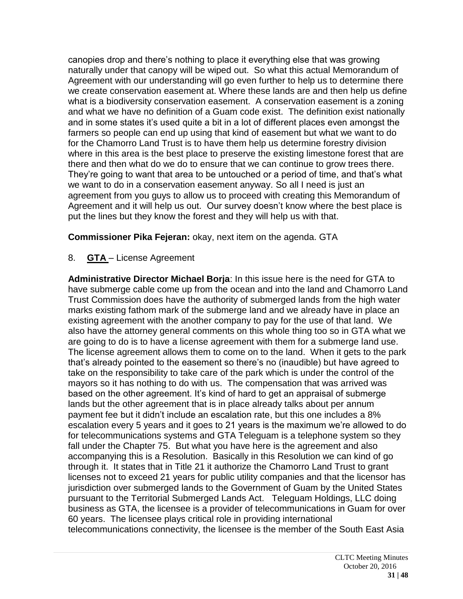canopies drop and there's nothing to place it everything else that was growing naturally under that canopy will be wiped out. So what this actual Memorandum of Agreement with our understanding will go even further to help us to determine there we create conservation easement at. Where these lands are and then help us define what is a biodiversity conservation easement. A conservation easement is a zoning and what we have no definition of a Guam code exist. The definition exist nationally and in some states it's used quite a bit in a lot of different places even amongst the farmers so people can end up using that kind of easement but what we want to do for the Chamorro Land Trust is to have them help us determine forestry division where in this area is the best place to preserve the existing limestone forest that are there and then what do we do to ensure that we can continue to grow trees there. They're going to want that area to be untouched or a period of time, and that's what we want to do in a conservation easement anyway. So all I need is just an agreement from you guys to allow us to proceed with creating this Memorandum of Agreement and it will help us out. Our survey doesn't know where the best place is put the lines but they know the forest and they will help us with that.

**Commissioner Pika Fejeran:** okay, next item on the agenda. GTA

# 8. **GTA** – License Agreement

**Administrative Director Michael Borja**: In this issue here is the need for GTA to have submerge cable come up from the ocean and into the land and Chamorro Land Trust Commission does have the authority of submerged lands from the high water marks existing fathom mark of the submerge land and we already have in place an existing agreement with the another company to pay for the use of that land. We also have the attorney general comments on this whole thing too so in GTA what we are going to do is to have a license agreement with them for a submerge land use. The license agreement allows them to come on to the land. When it gets to the park that's already pointed to the easement so there's no (inaudible) but have agreed to take on the responsibility to take care of the park which is under the control of the mayors so it has nothing to do with us. The compensation that was arrived was based on the other agreement. It's kind of hard to get an appraisal of submerge lands but the other agreement that is in place already talks about per annum payment fee but it didn't include an escalation rate, but this one includes a 8% escalation every 5 years and it goes to 21 years is the maximum we're allowed to do for telecommunications systems and GTA Teleguam is a telephone system so they fall under the Chapter 75. But what you have here is the agreement and also accompanying this is a Resolution. Basically in this Resolution we can kind of go through it. It states that in Title 21 it authorize the Chamorro Land Trust to grant licenses not to exceed 21 years for public utility companies and that the licensor has jurisdiction over submerged lands to the Government of Guam by the United States pursuant to the Territorial Submerged Lands Act. Teleguam Holdings, LLC doing business as GTA, the licensee is a provider of telecommunications in Guam for over 60 years. The licensee plays critical role in providing international telecommunications connectivity, the licensee is the member of the South East Asia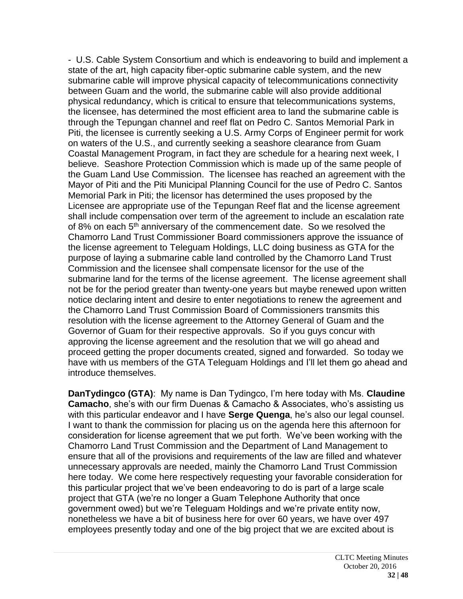- U.S. Cable System Consortium and which is endeavoring to build and implement a state of the art, high capacity fiber-optic submarine cable system, and the new submarine cable will improve physical capacity of telecommunications connectivity between Guam and the world, the submarine cable will also provide additional physical redundancy, which is critical to ensure that telecommunications systems, the licensee, has determined the most efficient area to land the submarine cable is through the Tepungan channel and reef flat on Pedro C. Santos Memorial Park in Piti, the licensee is currently seeking a U.S. Army Corps of Engineer permit for work on waters of the U.S., and currently seeking a seashore clearance from Guam Coastal Management Program, in fact they are schedule for a hearing next week, I believe. Seashore Protection Commission which is made up of the same people of the Guam Land Use Commission. The licensee has reached an agreement with the Mayor of Piti and the Piti Municipal Planning Council for the use of Pedro C. Santos Memorial Park in Piti; the licensor has determined the uses proposed by the Licensee are appropriate use of the Tepungan Reef flat and the license agreement shall include compensation over term of the agreement to include an escalation rate of 8% on each 5<sup>th</sup> anniversary of the commencement date. So we resolved the Chamorro Land Trust Commissioner Board commissioners approve the issuance of the license agreement to Teleguam Holdings, LLC doing business as GTA for the purpose of laying a submarine cable land controlled by the Chamorro Land Trust Commission and the licensee shall compensate licensor for the use of the submarine land for the terms of the license agreement. The license agreement shall not be for the period greater than twenty-one years but maybe renewed upon written notice declaring intent and desire to enter negotiations to renew the agreement and the Chamorro Land Trust Commission Board of Commissioners transmits this resolution with the license agreement to the Attorney General of Guam and the Governor of Guam for their respective approvals. So if you guys concur with approving the license agreement and the resolution that we will go ahead and proceed getting the proper documents created, signed and forwarded. So today we have with us members of the GTA Teleguam Holdings and I'll let them go ahead and introduce themselves.

**DanTydingco (GTA)**: My name is Dan Tydingco, I'm here today with Ms. **Claudine Camacho**, she's with our firm Duenas & Camacho & Associates, who's assisting us with this particular endeavor and I have **Serge Quenga**, he's also our legal counsel. I want to thank the commission for placing us on the agenda here this afternoon for consideration for license agreement that we put forth. We've been working with the Chamorro Land Trust Commission and the Department of Land Management to ensure that all of the provisions and requirements of the law are filled and whatever unnecessary approvals are needed, mainly the Chamorro Land Trust Commission here today. We come here respectively requesting your favorable consideration for this particular project that we've been endeavoring to do is part of a large scale project that GTA (we're no longer a Guam Telephone Authority that once government owed) but we're Teleguam Holdings and we're private entity now, nonetheless we have a bit of business here for over 60 years, we have over 497 employees presently today and one of the big project that we are excited about is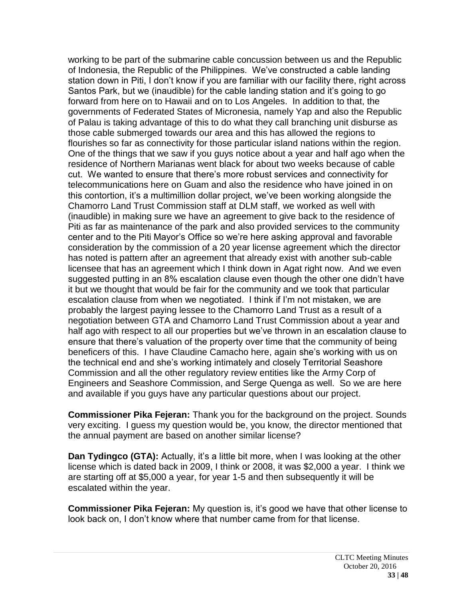working to be part of the submarine cable concussion between us and the Republic of Indonesia, the Republic of the Philippines. We've constructed a cable landing station down in Piti, I don't know if you are familiar with our facility there, right across Santos Park, but we (inaudible) for the cable landing station and it's going to go forward from here on to Hawaii and on to Los Angeles. In addition to that, the governments of Federated States of Micronesia, namely Yap and also the Republic of Palau is taking advantage of this to do what they call branching unit disburse as those cable submerged towards our area and this has allowed the regions to flourishes so far as connectivity for those particular island nations within the region. One of the things that we saw if you guys notice about a year and half ago when the residence of Northern Marianas went black for about two weeks because of cable cut. We wanted to ensure that there's more robust services and connectivity for telecommunications here on Guam and also the residence who have joined in on this contortion, it's a multimillion dollar project, we've been working alongside the Chamorro Land Trust Commission staff at DLM staff, we worked as well with (inaudible) in making sure we have an agreement to give back to the residence of Piti as far as maintenance of the park and also provided services to the community center and to the Piti Mayor's Office so we're here asking approval and favorable consideration by the commission of a 20 year license agreement which the director has noted is pattern after an agreement that already exist with another sub-cable licensee that has an agreement which I think down in Agat right now. And we even suggested putting in an 8% escalation clause even though the other one didn't have it but we thought that would be fair for the community and we took that particular escalation clause from when we negotiated. I think if I'm not mistaken, we are probably the largest paying lessee to the Chamorro Land Trust as a result of a negotiation between GTA and Chamorro Land Trust Commission about a year and half ago with respect to all our properties but we've thrown in an escalation clause to ensure that there's valuation of the property over time that the community of being beneficers of this. I have Claudine Camacho here, again she's working with us on the technical end and she's working intimately and closely Territorial Seashore Commission and all the other regulatory review entities like the Army Corp of Engineers and Seashore Commission, and Serge Quenga as well. So we are here and available if you guys have any particular questions about our project.

**Commissioner Pika Fejeran:** Thank you for the background on the project. Sounds very exciting. I guess my question would be, you know, the director mentioned that the annual payment are based on another similar license?

**Dan Tydingco (GTA):** Actually, it's a little bit more, when I was looking at the other license which is dated back in 2009, I think or 2008, it was \$2,000 a year. I think we are starting off at \$5,000 a year, for year 1-5 and then subsequently it will be escalated within the year.

**Commissioner Pika Fejeran:** My question is, it's good we have that other license to look back on, I don't know where that number came from for that license.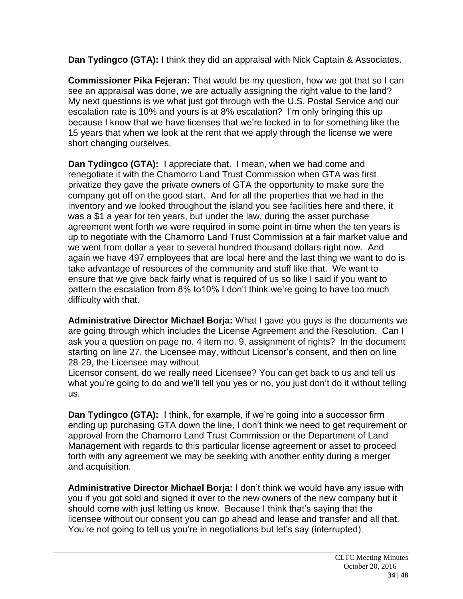**Dan Tydingco (GTA):** I think they did an appraisal with Nick Captain & Associates.

**Commissioner Pika Fejeran:** That would be my question, how we got that so I can see an appraisal was done, we are actually assigning the right value to the land? My next questions is we what just got through with the U.S. Postal Service and our escalation rate is 10% and yours is at 8% escalation? I'm only bringing this up because I know that we have licenses that we're locked in to for something like the 15 years that when we look at the rent that we apply through the license we were short changing ourselves.

**Dan Tydingco (GTA):** I appreciate that. I mean, when we had come and renegotiate it with the Chamorro Land Trust Commission when GTA was first privatize they gave the private owners of GTA the opportunity to make sure the company got off on the good start. And for all the properties that we had in the inventory and we looked throughout the island you see facilities here and there, it was a \$1 a year for ten years, but under the law, during the asset purchase agreement went forth we were required in some point in time when the ten years is up to negotiate with the Chamorro Land Trust Commission at a fair market value and we went from dollar a year to several hundred thousand dollars right now. And again we have 497 employees that are local here and the last thing we want to do is take advantage of resources of the community and stuff like that. We want to ensure that we give back fairly what is required of us so like I said if you want to pattern the escalation from 8% to10% I don't think we're going to have too much difficulty with that.

**Administrative Director Michael Borja:** What I gave you guys is the documents we are going through which includes the License Agreement and the Resolution. Can I ask you a question on page no. 4 item no. 9, assignment of rights? In the document starting on line 27, the Licensee may, without Licensor's consent, and then on line 28-29, the Licensee may without

Licensor consent, do we really need Licensee? You can get back to us and tell us what you're going to do and we'll tell you yes or no, you just don't do it without telling us.

**Dan Tydingco (GTA):** I think, for example, if we're going into a successor firm ending up purchasing GTA down the line, I don't think we need to get requirement or approval from the Chamorro Land Trust Commission or the Department of Land Management with regards to this particular license agreement or asset to proceed forth with any agreement we may be seeking with another entity during a merger and acquisition.

**Administrative Director Michael Borja:** I don't think we would have any issue with you if you got sold and signed it over to the new owners of the new company but it should come with just letting us know. Because I think that's saying that the licensee without our consent you can go ahead and lease and transfer and all that. You're not going to tell us you're in negotiations but let's say (interrupted).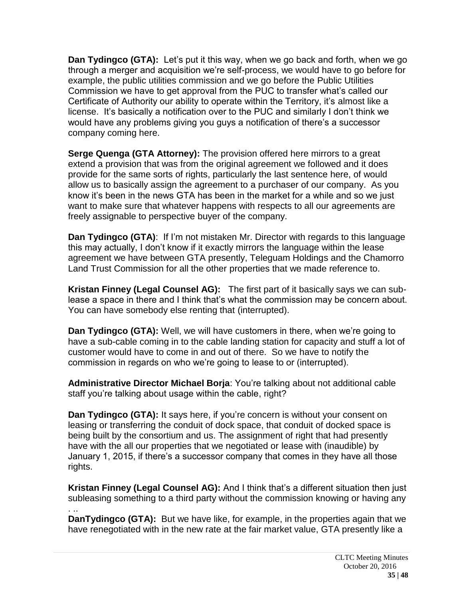**Dan Tydingco (GTA):** Let's put it this way, when we go back and forth, when we go through a merger and acquisition we're self-process, we would have to go before for example, the public utilities commission and we go before the Public Utilities Commission we have to get approval from the PUC to transfer what's called our Certificate of Authority our ability to operate within the Territory, it's almost like a license. It's basically a notification over to the PUC and similarly I don't think we would have any problems giving you guys a notification of there's a successor company coming here.

**Serge Quenga (GTA Attorney):** The provision offered here mirrors to a great extend a provision that was from the original agreement we followed and it does provide for the same sorts of rights, particularly the last sentence here, of would allow us to basically assign the agreement to a purchaser of our company. As you know it's been in the news GTA has been in the market for a while and so we just want to make sure that whatever happens with respects to all our agreements are freely assignable to perspective buyer of the company.

**Dan Tydingco (GTA):** If I'm not mistaken Mr. Director with regards to this language this may actually, I don't know if it exactly mirrors the language within the lease agreement we have between GTA presently, Teleguam Holdings and the Chamorro Land Trust Commission for all the other properties that we made reference to.

**Kristan Finney (Legal Counsel AG):** The first part of it basically says we can sublease a space in there and I think that's what the commission may be concern about. You can have somebody else renting that (interrupted).

**Dan Tydingco (GTA):** Well, we will have customers in there, when we're going to have a sub-cable coming in to the cable landing station for capacity and stuff a lot of customer would have to come in and out of there. So we have to notify the commission in regards on who we're going to lease to or (interrupted).

**Administrative Director Michael Borja**: You're talking about not additional cable staff you're talking about usage within the cable, right?

**Dan Tydingco (GTA):** It says here, if you're concern is without your consent on leasing or transferring the conduit of dock space, that conduit of docked space is being built by the consortium and us. The assignment of right that had presently have with the all our properties that we negotiated or lease with (inaudible) by January 1, 2015, if there's a successor company that comes in they have all those rights.

**Kristan Finney (Legal Counsel AG):** And I think that's a different situation then just subleasing something to a third party without the commission knowing or having any

. .. **DanTydingco (GTA):** But we have like, for example, in the properties again that we have renegotiated with in the new rate at the fair market value, GTA presently like a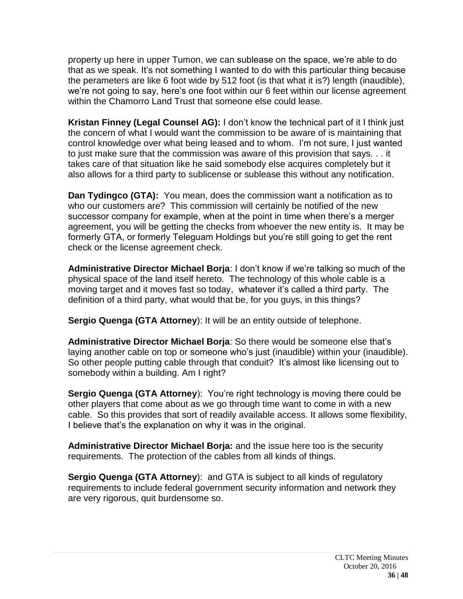property up here in upper Tumon, we can sublease on the space, we're able to do that as we speak. It's not something I wanted to do with this particular thing because the perameters are like 6 foot wide by 512 foot (is that what it is?) length (inaudible), we're not going to say, here's one foot within our 6 feet within our license agreement within the Chamorro Land Trust that someone else could lease.

**Kristan Finney (Legal Counsel AG):** I don't know the technical part of it I think just the concern of what I would want the commission to be aware of is maintaining that control knowledge over what being leased and to whom. I'm not sure, I just wanted to just make sure that the commission was aware of this provision that says. . . it takes care of that situation like he said somebody else acquires completely but it also allows for a third party to sublicense or sublease this without any notification.

**Dan Tydingco (GTA):** You mean, does the commission want a notification as to who our customers are? This commission will certainly be notified of the new successor company for example, when at the point in time when there's a merger agreement, you will be getting the checks from whoever the new entity is. It may be formerly GTA, or formerly Teleguam Holdings but you're still going to get the rent check or the license agreement check.

**Administrative Director Michael Borja**: I don't know if we're talking so much of the physical space of the land itself hereto. The technology of this whole cable is a moving target and it moves fast so today, whatever it's called a third party. The definition of a third party, what would that be, for you guys, in this things?

**Sergio Quenga (GTA Attorney**): It will be an entity outside of telephone.

**Administrative Director Michael Borja**: So there would be someone else that's laying another cable on top or someone who's just (inaudible) within your (inaudible). So other people putting cable through that conduit? It's almost like licensing out to somebody within a building. Am I right?

**Sergio Quenga (GTA Attorney**): You're right technology is moving there could be other players that come about as we go through time want to come in with a new cable. So this provides that sort of readily available access. It allows some flexibility, I believe that's the explanation on why it was in the original.

**Administrative Director Michael Borja:** and the issue here too is the security requirements. The protection of the cables from all kinds of things.

**Sergio Quenga (GTA Attorney**): and GTA is subject to all kinds of regulatory requirements to include federal government security information and network they are very rigorous, quit burdensome so.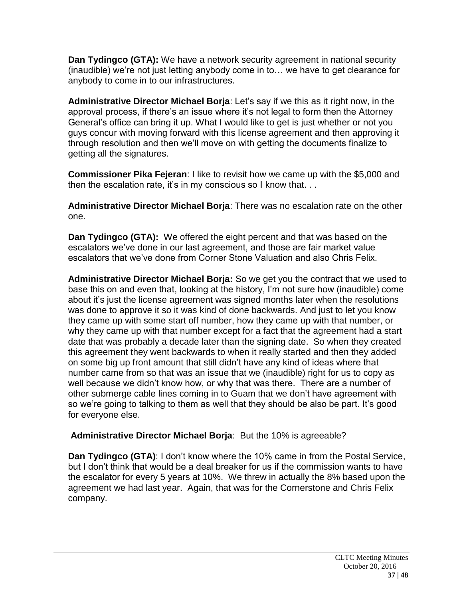**Dan Tydingco (GTA):** We have a network security agreement in national security (inaudible) we're not just letting anybody come in to… we have to get clearance for anybody to come in to our infrastructures.

**Administrative Director Michael Borja**: Let's say if we this as it right now, in the approval process, if there's an issue where it's not legal to form then the Attorney General's office can bring it up. What I would like to get is just whether or not you guys concur with moving forward with this license agreement and then approving it through resolution and then we'll move on with getting the documents finalize to getting all the signatures.

**Commissioner Pika Fejeran**: I like to revisit how we came up with the \$5,000 and then the escalation rate, it's in my conscious so I know that. . .

**Administrative Director Michael Borja**: There was no escalation rate on the other one.

**Dan Tydingco (GTA):** We offered the eight percent and that was based on the escalators we've done in our last agreement, and those are fair market value escalators that we've done from Corner Stone Valuation and also Chris Felix.

**Administrative Director Michael Borja:** So we get you the contract that we used to base this on and even that, looking at the history, I'm not sure how (inaudible) come about it's just the license agreement was signed months later when the resolutions was done to approve it so it was kind of done backwards. And just to let you know they came up with some start off number, how they came up with that number, or why they came up with that number except for a fact that the agreement had a start date that was probably a decade later than the signing date. So when they created this agreement they went backwards to when it really started and then they added on some big up front amount that still didn't have any kind of ideas where that number came from so that was an issue that we (inaudible) right for us to copy as well because we didn't know how, or why that was there. There are a number of other submerge cable lines coming in to Guam that we don't have agreement with so we're going to talking to them as well that they should be also be part. It's good for everyone else.

**Administrative Director Michael Borja**: But the 10% is agreeable?

**Dan Tydingco (GTA)**: I don't know where the 10% came in from the Postal Service, but I don't think that would be a deal breaker for us if the commission wants to have the escalator for every 5 years at 10%. We threw in actually the 8% based upon the agreement we had last year. Again, that was for the Cornerstone and Chris Felix company.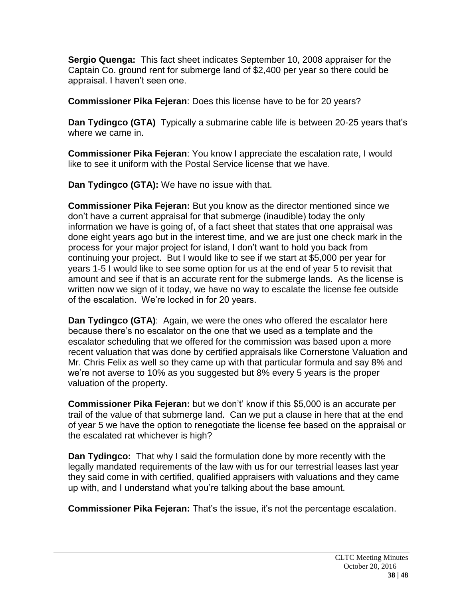**Sergio Quenga:** This fact sheet indicates September 10, 2008 appraiser for the Captain Co. ground rent for submerge land of \$2,400 per year so there could be appraisal. I haven't seen one.

**Commissioner Pika Fejeran**: Does this license have to be for 20 years?

**Dan Tydingco (GTA)** Typically a submarine cable life is between 20-25 years that's where we came in.

**Commissioner Pika Fejeran**: You know I appreciate the escalation rate, I would like to see it uniform with the Postal Service license that we have.

**Dan Tydingco (GTA):** We have no issue with that.

**Commissioner Pika Fejeran:** But you know as the director mentioned since we don't have a current appraisal for that submerge (inaudible) today the only information we have is going of, of a fact sheet that states that one appraisal was done eight years ago but in the interest time, and we are just one check mark in the process for your major project for island, I don't want to hold you back from continuing your project. But I would like to see if we start at \$5,000 per year for years 1-5 I would like to see some option for us at the end of year 5 to revisit that amount and see if that is an accurate rent for the submerge lands. As the license is written now we sign of it today, we have no way to escalate the license fee outside of the escalation. We're locked in for 20 years.

**Dan Tydingco (GTA)**: Again, we were the ones who offered the escalator here because there's no escalator on the one that we used as a template and the escalator scheduling that we offered for the commission was based upon a more recent valuation that was done by certified appraisals like Cornerstone Valuation and Mr. Chris Felix as well so they came up with that particular formula and say 8% and we're not averse to 10% as you suggested but 8% every 5 years is the proper valuation of the property.

**Commissioner Pika Fejeran:** but we don't' know if this \$5,000 is an accurate per trail of the value of that submerge land. Can we put a clause in here that at the end of year 5 we have the option to renegotiate the license fee based on the appraisal or the escalated rat whichever is high?

**Dan Tydingco:** That why I said the formulation done by more recently with the legally mandated requirements of the law with us for our terrestrial leases last year they said come in with certified, qualified appraisers with valuations and they came up with, and I understand what you're talking about the base amount.

**Commissioner Pika Fejeran:** That's the issue, it's not the percentage escalation.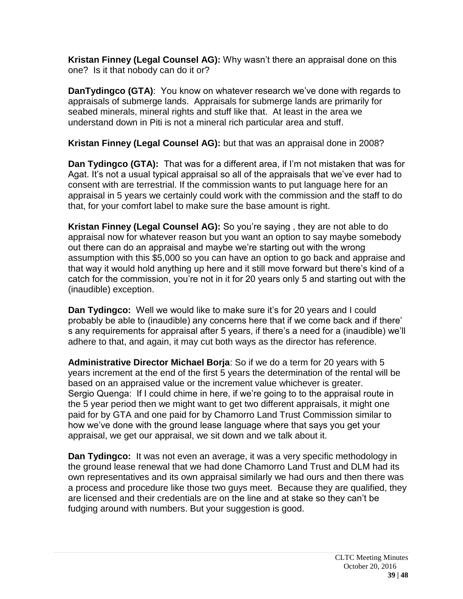**Kristan Finney (Legal Counsel AG):** Why wasn't there an appraisal done on this one? Is it that nobody can do it or?

**DanTydingco (GTA)**: You know on whatever research we've done with regards to appraisals of submerge lands. Appraisals for submerge lands are primarily for seabed minerals, mineral rights and stuff like that. At least in the area we understand down in Piti is not a mineral rich particular area and stuff.

**Kristan Finney (Legal Counsel AG):** but that was an appraisal done in 2008?

**Dan Tydingco (GTA):** That was for a different area, if I'm not mistaken that was for Agat. It's not a usual typical appraisal so all of the appraisals that we've ever had to consent with are terrestrial. If the commission wants to put language here for an appraisal in 5 years we certainly could work with the commission and the staff to do that, for your comfort label to make sure the base amount is right.

**Kristan Finney (Legal Counsel AG):** So you're saying , they are not able to do appraisal now for whatever reason but you want an option to say maybe somebody out there can do an appraisal and maybe we're starting out with the wrong assumption with this \$5,000 so you can have an option to go back and appraise and that way it would hold anything up here and it still move forward but there's kind of a catch for the commission, you're not in it for 20 years only 5 and starting out with the (inaudible) exception.

**Dan Tydingco:** Well we would like to make sure it's for 20 years and I could probably be able to (inaudible) any concerns here that if we come back and if there' s any requirements for appraisal after 5 years, if there's a need for a (inaudible) we'll adhere to that, and again, it may cut both ways as the director has reference.

**Administrative Director Michael Borja**: So if we do a term for 20 years with 5 years increment at the end of the first 5 years the determination of the rental will be based on an appraised value or the increment value whichever is greater. Sergio Quenga: If I could chime in here, if we're going to to the appraisal route in the 5 year period then we might want to get two different appraisals, it might one paid for by GTA and one paid for by Chamorro Land Trust Commission similar to how we've done with the ground lease language where that says you get your appraisal, we get our appraisal, we sit down and we talk about it.

**Dan Tydingco:** It was not even an average, it was a very specific methodology in the ground lease renewal that we had done Chamorro Land Trust and DLM had its own representatives and its own appraisal similarly we had ours and then there was a process and procedure like those two guys meet. Because they are qualified, they are licensed and their credentials are on the line and at stake so they can't be fudging around with numbers. But your suggestion is good.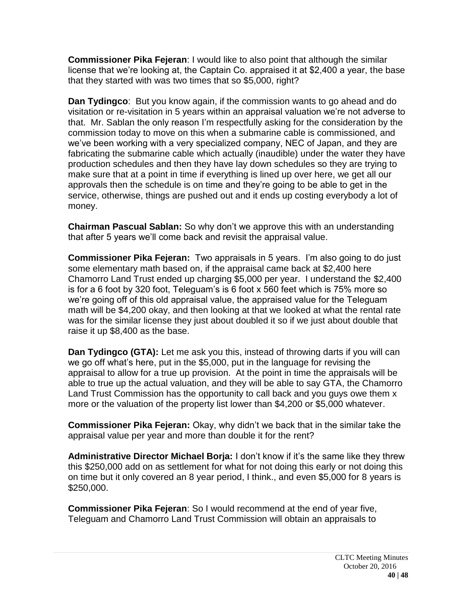**Commissioner Pika Fejeran**: I would like to also point that although the similar license that we're looking at, the Captain Co. appraised it at \$2,400 a year, the base that they started with was two times that so \$5,000, right?

**Dan Tydingco**: But you know again, if the commission wants to go ahead and do visitation or re-visitation in 5 years within an appraisal valuation we're not adverse to that. Mr. Sablan the only reason I'm respectfully asking for the consideration by the commission today to move on this when a submarine cable is commissioned, and we've been working with a very specialized company, NEC of Japan, and they are fabricating the submarine cable which actually (inaudible) under the water they have production schedules and then they have lay down schedules so they are trying to make sure that at a point in time if everything is lined up over here, we get all our approvals then the schedule is on time and they're going to be able to get in the service, otherwise, things are pushed out and it ends up costing everybody a lot of money.

**Chairman Pascual Sablan:** So why don't we approve this with an understanding that after 5 years we'll come back and revisit the appraisal value.

**Commissioner Pika Fejeran:** Two appraisals in 5 years. I'm also going to do just some elementary math based on, if the appraisal came back at \$2,400 here Chamorro Land Trust ended up charging \$5,000 per year. I understand the \$2,400 is for a 6 foot by 320 foot, Teleguam's is 6 foot x 560 feet which is 75% more so we're going off of this old appraisal value, the appraised value for the Teleguam math will be \$4,200 okay, and then looking at that we looked at what the rental rate was for the similar license they just about doubled it so if we just about double that raise it up \$8,400 as the base.

**Dan Tydingco (GTA):** Let me ask you this, instead of throwing darts if you will can we go off what's here, put in the \$5,000, put in the language for revising the appraisal to allow for a true up provision. At the point in time the appraisals will be able to true up the actual valuation, and they will be able to say GTA, the Chamorro Land Trust Commission has the opportunity to call back and you guys owe them x more or the valuation of the property list lower than \$4,200 or \$5,000 whatever.

**Commissioner Pika Fejeran:** Okay, why didn't we back that in the similar take the appraisal value per year and more than double it for the rent?

**Administrative Director Michael Borja:** I don't know if it's the same like they threw this \$250,000 add on as settlement for what for not doing this early or not doing this on time but it only covered an 8 year period, I think., and even \$5,000 for 8 years is \$250,000.

**Commissioner Pika Fejeran**: So I would recommend at the end of year five, Teleguam and Chamorro Land Trust Commission will obtain an appraisals to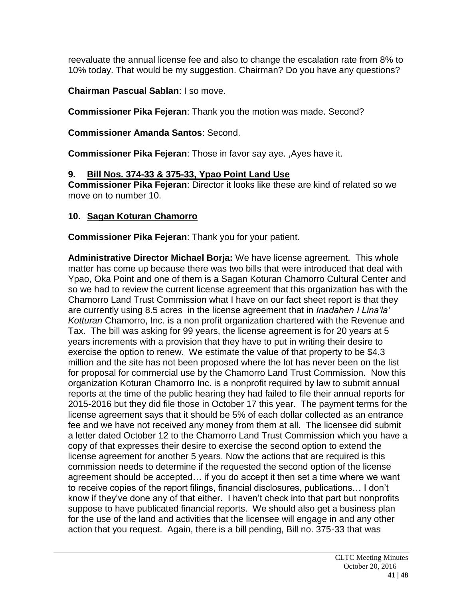reevaluate the annual license fee and also to change the escalation rate from 8% to 10% today. That would be my suggestion. Chairman? Do you have any questions?

**Chairman Pascual Sablan**: I so move.

**Commissioner Pika Fejeran**: Thank you the motion was made. Second?

**Commissioner Amanda Santos**: Second.

**Commissioner Pika Fejeran**: Those in favor say aye. ,Ayes have it.

## **9. Bill Nos. 374-33 & 375-33, Ypao Point Land Use**

**Commissioner Pika Fejeran**: Director it looks like these are kind of related so we move on to number 10.

## **10. Sagan Koturan Chamorro**

**Commissioner Pika Fejeran**: Thank you for your patient.

**Administrative Director Michael Borja:** We have license agreement. This whole matter has come up because there was two bills that were introduced that deal with Ypao, Oka Point and one of them is a Sagan Koturan Chamorro Cultural Center and so we had to review the current license agreement that this organization has with the Chamorro Land Trust Commission what I have on our fact sheet report is that they are currently using 8.5 acres in the license agreement that in *Inadahen I Lina'la' Kotturan* Chamorro, Inc. is a non profit organization chartered with the Revenue and Tax. The bill was asking for 99 years, the license agreement is for 20 years at 5 years increments with a provision that they have to put in writing their desire to exercise the option to renew. We estimate the value of that property to be \$4.3 million and the site has not been proposed where the lot has never been on the list for proposal for commercial use by the Chamorro Land Trust Commission. Now this organization Koturan Chamorro Inc. is a nonprofit required by law to submit annual reports at the time of the public hearing they had failed to file their annual reports for 2015-2016 but they did file those in October 17 this year. The payment terms for the license agreement says that it should be 5% of each dollar collected as an entrance fee and we have not received any money from them at all. The licensee did submit a letter dated October 12 to the Chamorro Land Trust Commission which you have a copy of that expresses their desire to exercise the second option to extend the license agreement for another 5 years. Now the actions that are required is this commission needs to determine if the requested the second option of the license agreement should be accepted… if you do accept it then set a time where we want to receive copies of the report filings, financial disclosures, publications… I don't know if they've done any of that either. I haven't check into that part but nonprofits suppose to have publicated financial reports. We should also get a business plan for the use of the land and activities that the licensee will engage in and any other action that you request. Again, there is a bill pending, Bill no. 375-33 that was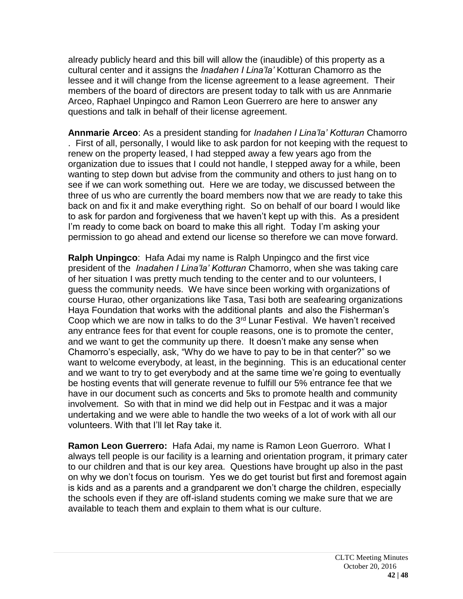already publicly heard and this bill will allow the (inaudible) of this property as a cultural center and it assigns the *Inadahen I Lina'la'* Kotturan Chamorro as the lessee and it will change from the license agreement to a lease agreement. Their members of the board of directors are present today to talk with us are Annmarie Arceo, Raphael Unpingco and Ramon Leon Guerrero are here to answer any questions and talk in behalf of their license agreement.

**Annmarie Arceo**: As a president standing for *Inadahen I Lina'la' Kotturan* Chamorro . First of all, personally, I would like to ask pardon for not keeping with the request to renew on the property leased, I had stepped away a few years ago from the organization due to issues that I could not handle, I stepped away for a while, been wanting to step down but advise from the community and others to just hang on to see if we can work something out. Here we are today, we discussed between the three of us who are currently the board members now that we are ready to take this back on and fix it and make everything right. So on behalf of our board I would like to ask for pardon and forgiveness that we haven't kept up with this. As a president I'm ready to come back on board to make this all right. Today I'm asking your permission to go ahead and extend our license so therefore we can move forward.

**Ralph Unpingco**: Hafa Adai my name is Ralph Unpingco and the first vice president of the *Inadahen I Lina'la' Kotturan* Chamorro, when she was taking care of her situation I was pretty much tending to the center and to our volunteers, I guess the community needs. We have since been working with organizations of course Hurao, other organizations like Tasa, Tasi both are seafearing organizations Haya Foundation that works with the additional plants and also the Fisherman's Coop which we are now in talks to do the 3rd Lunar Festival. We haven't received any entrance fees for that event for couple reasons, one is to promote the center, and we want to get the community up there. It doesn't make any sense when Chamorro's especially, ask, "Why do we have to pay to be in that center?" so we want to welcome everybody, at least, in the beginning. This is an educational center and we want to try to get everybody and at the same time we're going to eventually be hosting events that will generate revenue to fulfill our 5% entrance fee that we have in our document such as concerts and 5ks to promote health and community involvement. So with that in mind we did help out in Festpac and it was a major undertaking and we were able to handle the two weeks of a lot of work with all our volunteers. With that I'll let Ray take it.

**Ramon Leon Guerrero:** Hafa Adai, my name is Ramon Leon Guerroro. What I always tell people is our facility is a learning and orientation program, it primary cater to our children and that is our key area. Questions have brought up also in the past on why we don't focus on tourism. Yes we do get tourist but first and foremost again is kids and as a parents and a grandparent we don't charge the children, especially the schools even if they are off-island students coming we make sure that we are available to teach them and explain to them what is our culture.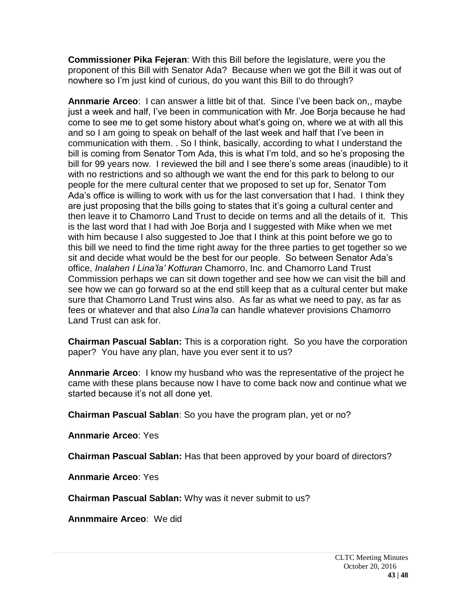**Commissioner Pika Fejeran**: With this Bill before the legislature, were you the proponent of this Bill with Senator Ada? Because when we got the Bill it was out of nowhere so I'm just kind of curious, do you want this Bill to do through?

**Annmarie Arceo**: I can answer a little bit of that. Since I've been back on,, maybe just a week and half, I've been in communication with Mr. Joe Borja because he had come to see me to get some history about what's going on, where we at with all this and so I am going to speak on behalf of the last week and half that I've been in communication with them. . So I think, basically, according to what I understand the bill is coming from Senator Tom Ada, this is what I'm told, and so he's proposing the bill for 99 years now. I reviewed the bill and I see there's some areas (inaudible) to it with no restrictions and so although we want the end for this park to belong to our people for the mere cultural center that we proposed to set up for, Senator Tom Ada's office is willing to work with us for the last conversation that I had. I think they are just proposing that the bills going to states that it's going a cultural center and then leave it to Chamorro Land Trust to decide on terms and all the details of it. This is the last word that I had with Joe Borja and I suggested with Mike when we met with him because I also suggested to Joe that I think at this point before we go to this bill we need to find the time right away for the three parties to get together so we sit and decide what would be the best for our people. So between Senator Ada's office, *Inalahen I Lina'la' Kotturan* Chamorro, Inc. and Chamorro Land Trust Commission perhaps we can sit down together and see how we can visit the bill and see how we can go forward so at the end still keep that as a cultural center but make sure that Chamorro Land Trust wins also. As far as what we need to pay, as far as fees or whatever and that also *Lina'la* can handle whatever provisions Chamorro Land Trust can ask for.

**Chairman Pascual Sablan:** This is a corporation right. So you have the corporation paper? You have any plan, have you ever sent it to us?

**Annmarie Arceo**: I know my husband who was the representative of the project he came with these plans because now I have to come back now and continue what we started because it's not all done yet.

**Chairman Pascual Sablan**: So you have the program plan, yet or no?

**Annmarie Arceo**: Yes

**Chairman Pascual Sablan:** Has that been approved by your board of directors?

**Annmarie Arceo**: Yes

**Chairman Pascual Sablan:** Why was it never submit to us?

**Annmmaire Arceo**: We did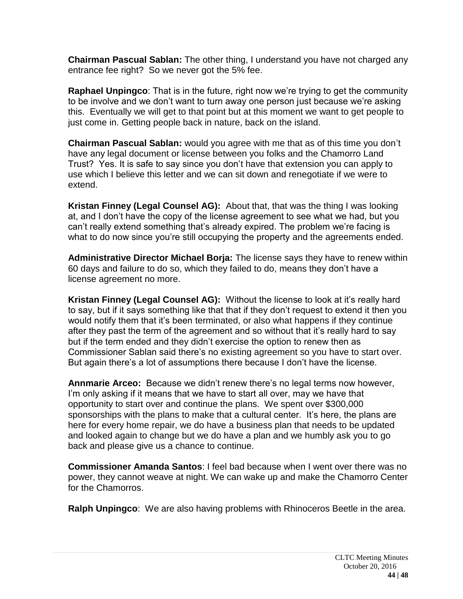**Chairman Pascual Sablan:** The other thing, I understand you have not charged any entrance fee right? So we never got the 5% fee.

**Raphael Unpingco**: That is in the future, right now we're trying to get the community to be involve and we don't want to turn away one person just because we're asking this. Eventually we will get to that point but at this moment we want to get people to just come in. Getting people back in nature, back on the island.

**Chairman Pascual Sablan:** would you agree with me that as of this time you don't have any legal document or license between you folks and the Chamorro Land Trust? Yes. It is safe to say since you don't have that extension you can apply to use which I believe this letter and we can sit down and renegotiate if we were to extend.

**Kristan Finney (Legal Counsel AG):** About that, that was the thing I was looking at, and I don't have the copy of the license agreement to see what we had, but you can't really extend something that's already expired. The problem we're facing is what to do now since you're still occupying the property and the agreements ended.

**Administrative Director Michael Borja:** The license says they have to renew within 60 days and failure to do so, which they failed to do, means they don't have a license agreement no more.

**Kristan Finney (Legal Counsel AG):** Without the license to look at it's really hard to say, but if it says something like that that if they don't request to extend it then you would notify them that it's been terminated, or also what happens if they continue after they past the term of the agreement and so without that it's really hard to say but if the term ended and they didn't exercise the option to renew then as Commissioner Sablan said there's no existing agreement so you have to start over. But again there's a lot of assumptions there because I don't have the license.

**Annmarie Arceo:** Because we didn't renew there's no legal terms now however, I'm only asking if it means that we have to start all over, may we have that opportunity to start over and continue the plans. We spent over \$300,000 sponsorships with the plans to make that a cultural center. It's here, the plans are here for every home repair, we do have a business plan that needs to be updated and looked again to change but we do have a plan and we humbly ask you to go back and please give us a chance to continue.

**Commissioner Amanda Santos**: I feel bad because when I went over there was no power, they cannot weave at night. We can wake up and make the Chamorro Center for the Chamorros.

**Ralph Unpingco**: We are also having problems with Rhinoceros Beetle in the area.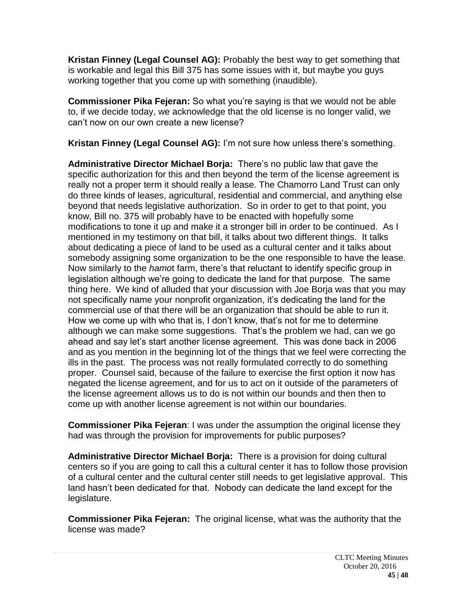**Kristan Finney (Legal Counsel AG):** Probably the best way to get something that is workable and legal this Bill 375 has some issues with it, but maybe you guys working together that you come up with something (inaudible).

**Commissioner Pika Fejeran:** So what you're saying is that we would not be able to, if we decide today, we acknowledge that the old license is no longer valid, we can't now on our own create a new license?

**Kristan Finney (Legal Counsel AG):** I'm not sure how unless there's something.

**Administrative Director Michael Borja:** There's no public law that gave the specific authorization for this and then beyond the term of the license agreement is really not a proper term it should really a lease. The Chamorro Land Trust can only do three kinds of leases, agricultural, residential and commercial, and anything else beyond that needs legislative authorization. So in order to get to that point, you know, Bill no. 375 will probably have to be enacted with hopefully some modifications to tone it up and make it a stronger bill in order to be continued. As I mentioned in my testimony on that bill, it talks about two different things. It talks about dedicating a piece of land to be used as a cultural center and it talks about somebody assigning some organization to be the one responsible to have the lease. Now similarly to the *hamo*t farm, there's that reluctant to identify specific group in legislation although we're going to dedicate the land for that purpose. The same thing here. We kind of alluded that your discussion with Joe Borja was that you may not specifically name your nonprofit organization, it's dedicating the land for the commercial use of that there will be an organization that should be able to run it. How we come up with who that is, I don't know, that's not for me to determine although we can make some suggestions. That's the problem we had, can we go ahead and say let's start another license agreement. This was done back in 2006 and as you mention in the beginning lot of the things that we feel were correcting the ills in the past. The process was not really formulated correctly to do something proper. Counsel said, because of the failure to exercise the first option it now has negated the license agreement, and for us to act on it outside of the parameters of the license agreement allows us to do is not within our bounds and then then to come up with another license agreement is not within our boundaries.

**Commissioner Pika Fejeran**: I was under the assumption the original license they had was through the provision for improvements for public purposes?

**Administrative Director Michael Borja:** There is a provision for doing cultural centers so if you are going to call this a cultural center it has to follow those provision of a cultural center and the cultural center still needs to get legislative approval. This land hasn't been dedicated for that. Nobody can dedicate the land except for the legislature.

**Commissioner Pika Fejeran:** The original license, what was the authority that the license was made?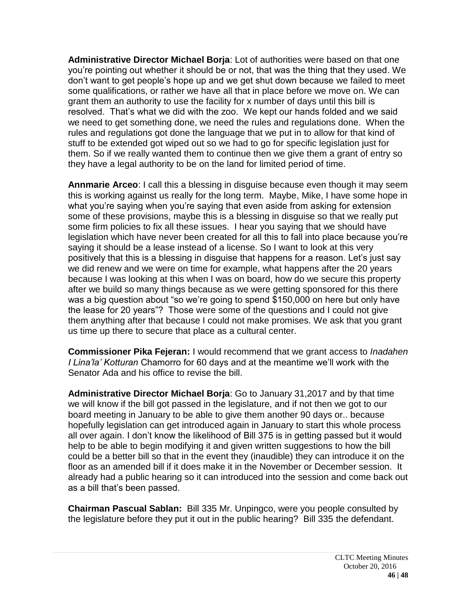**Administrative Director Michael Borja**: Lot of authorities were based on that one you're pointing out whether it should be or not, that was the thing that they used. We don't want to get people's hope up and we get shut down because we failed to meet some qualifications, or rather we have all that in place before we move on. We can grant them an authority to use the facility for x number of days until this bill is resolved. That's what we did with the zoo. We kept our hands folded and we said we need to get something done, we need the rules and regulations done. When the rules and regulations got done the language that we put in to allow for that kind of stuff to be extended got wiped out so we had to go for specific legislation just for them. So if we really wanted them to continue then we give them a grant of entry so they have a legal authority to be on the land for limited period of time.

**Annmarie Arceo**: I call this a blessing in disguise because even though it may seem this is working against us really for the long term. Maybe, Mike, I have some hope in what you're saying when you're saying that even aside from asking for extension some of these provisions, maybe this is a blessing in disguise so that we really put some firm policies to fix all these issues. I hear you saying that we should have legislation which have never been created for all this to fall into place because you're saying it should be a lease instead of a license. So I want to look at this very positively that this is a blessing in disguise that happens for a reason. Let's just say we did renew and we were on time for example, what happens after the 20 years because I was looking at this when I was on board, how do we secure this property after we build so many things because as we were getting sponsored for this there was a big question about "so we're going to spend \$150,000 on here but only have the lease for 20 years"? Those were some of the questions and I could not give them anything after that because I could not make promises. We ask that you grant us time up there to secure that place as a cultural center.

**Commissioner Pika Fejeran:** I would recommend that we grant access to *Inadahen I Lina'la' Kotturan* Chamorro for 60 days and at the meantime we'll work with the Senator Ada and his office to revise the bill.

**Administrative Director Michael Borja**: Go to January 31,2017 and by that time we will know if the bill got passed in the legislature, and if not then we got to our board meeting in January to be able to give them another 90 days or.. because hopefully legislation can get introduced again in January to start this whole process all over again. I don't know the likelihood of Bill 375 is in getting passed but it would help to be able to begin modifying it and given written suggestions to how the bill could be a better bill so that in the event they (inaudible) they can introduce it on the floor as an amended bill if it does make it in the November or December session. It already had a public hearing so it can introduced into the session and come back out as a bill that's been passed.

**Chairman Pascual Sablan:** Bill 335 Mr. Unpingco, were you people consulted by the legislature before they put it out in the public hearing? Bill 335 the defendant.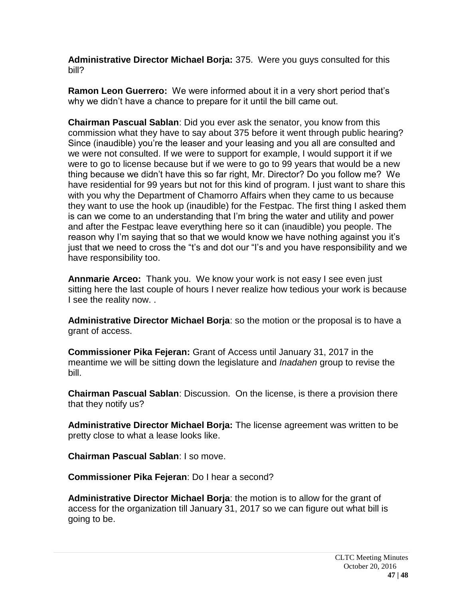**Administrative Director Michael Borja:** 375. Were you guys consulted for this bill?

**Ramon Leon Guerrero:** We were informed about it in a very short period that's why we didn't have a chance to prepare for it until the bill came out.

**Chairman Pascual Sablan**: Did you ever ask the senator, you know from this commission what they have to say about 375 before it went through public hearing? Since (inaudible) you're the leaser and your leasing and you all are consulted and we were not consulted. If we were to support for example, I would support it if we were to go to license because but if we were to go to 99 years that would be a new thing because we didn't have this so far right, Mr. Director? Do you follow me? We have residential for 99 years but not for this kind of program. I just want to share this with you why the Department of Chamorro Affairs when they came to us because they want to use the hook up (inaudible) for the Festpac. The first thing I asked them is can we come to an understanding that I'm bring the water and utility and power and after the Festpac leave everything here so it can (inaudible) you people. The reason why I'm saying that so that we would know we have nothing against you it's just that we need to cross the "t's and dot our "I's and you have responsibility and we have responsibility too.

**Annmarie Arceo:** Thank you. We know your work is not easy I see even just sitting here the last couple of hours I never realize how tedious your work is because I see the reality now. .

**Administrative Director Michael Borja**: so the motion or the proposal is to have a grant of access.

**Commissioner Pika Fejeran:** Grant of Access until January 31, 2017 in the meantime we will be sitting down the legislature and *Inadahen* group to revise the bill.

**Chairman Pascual Sablan**: Discussion. On the license, is there a provision there that they notify us?

**Administrative Director Michael Borja:** The license agreement was written to be pretty close to what a lease looks like.

**Chairman Pascual Sablan**: I so move.

**Commissioner Pika Fejeran**: Do I hear a second?

**Administrative Director Michael Borja**: the motion is to allow for the grant of access for the organization till January 31, 2017 so we can figure out what bill is going to be.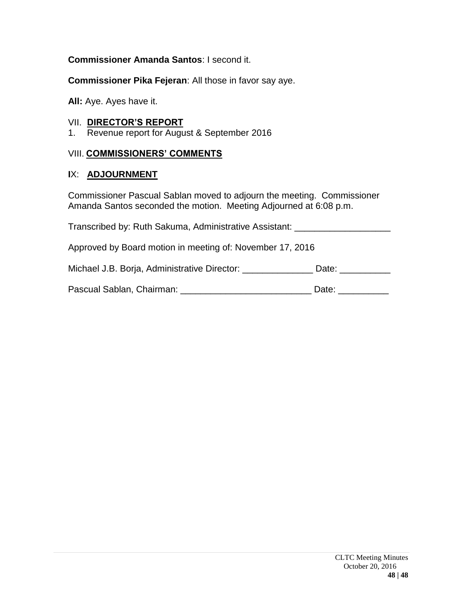## **Commissioner Amanda Santos**: I second it.

**Commissioner Pika Fejeran**: All those in favor say aye.

**All:** Aye. Ayes have it.

#### VII. **DIRECTOR'S REPORT**

1. Revenue report for August & September 2016

#### VIII. **COMMISSIONERS' COMMENTS**

#### **I**X: **ADJOURNMENT**

Commissioner Pascual Sablan moved to adjourn the meeting. Commissioner Amanda Santos seconded the motion. Meeting Adjourned at 6:08 p.m.

Transcribed by: Ruth Sakuma, Administrative Assistant: \_\_\_\_\_\_\_\_\_\_\_\_\_\_\_\_\_\_\_\_\_\_\_\_\_ Approved by Board motion in meeting of: November 17, 2016 Michael J.B. Borja, Administrative Director: \_\_\_\_\_\_\_\_\_\_\_\_\_\_\_\_ Date: \_\_\_\_\_\_\_\_\_\_\_\_ Pascual Sablan, Chairman: \_\_\_\_\_\_\_\_\_\_\_\_\_\_\_\_\_\_\_\_\_\_\_\_\_\_\_\_\_\_\_\_\_ Date: \_\_\_\_\_\_\_\_\_\_\_\_\_\_